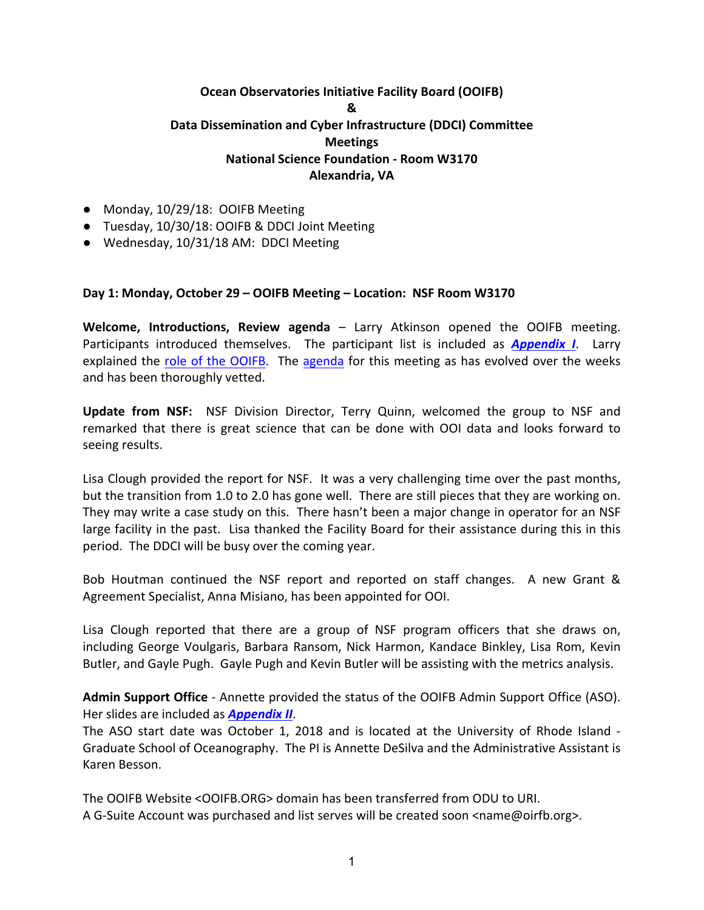# **Ocean Observatories Initiative Facility Board (OOIFB) & Data Dissemination and Cyber Infrastructure (DDCI) Committee Meetings National Science Foundation - Room W3170 Alexandria, VA**

- Monday, 10/29/18: OOIFB Meeting
- Tuesday, 10/30/18: OOIFB & DDCI Joint Meeting
- Wednesday, 10/31/18 AM: DDCI Meeting

#### **Day 1: Monday, October 29 – OOIFB Meeting – Location: NSF Room W3170**

**Welcome, Introductions, Review agenda** – Larry Atkinson opened the OOIFB meeting. Participants introduced themselves. The participant list is included as **Appendix I**. Larry explained the role of the OOIFB. The agenda for this meeting as has evolved over the weeks and has been thoroughly vetted.

**Update from NSF:** NSF Division Director, Terry Quinn, welcomed the group to NSF and remarked that there is great science that can be done with OOI data and looks forward to seeing results.

Lisa Clough provided the report for NSF. It was a very challenging time over the past months, but the transition from 1.0 to 2.0 has gone well. There are still pieces that they are working on. They may write a case study on this. There hasn't been a major change in operator for an NSF large facility in the past. Lisa thanked the Facility Board for their assistance during this in this period. The DDCI will be busy over the coming year.

Bob Houtman continued the NSF report and reported on staff changes. A new Grant & Agreement Specialist, Anna Misiano, has been appointed for OOI.

Lisa Clough reported that there are a group of NSF program officers that she draws on, including George Voulgaris, Barbara Ransom, Nick Harmon, Kandace Binkley, Lisa Rom, Kevin Butler, and Gayle Pugh. Gayle Pugh and Kevin Butler will be assisting with the metrics analysis.

**Admin Support Office** - Annette provided the status of the OOIFB Admin Support Office (ASO). Her slides are included as **Appendix II**.

The ASO start date was October 1, 2018 and is located at the University of Rhode Island -Graduate School of Oceanography. The PI is Annette DeSilva and the Administrative Assistant is Karen Besson. 

The OOIFB Website <OOIFB.ORG> domain has been transferred from ODU to URI. A G-Suite Account was purchased and list serves will be created soon <name@oirfb.org>.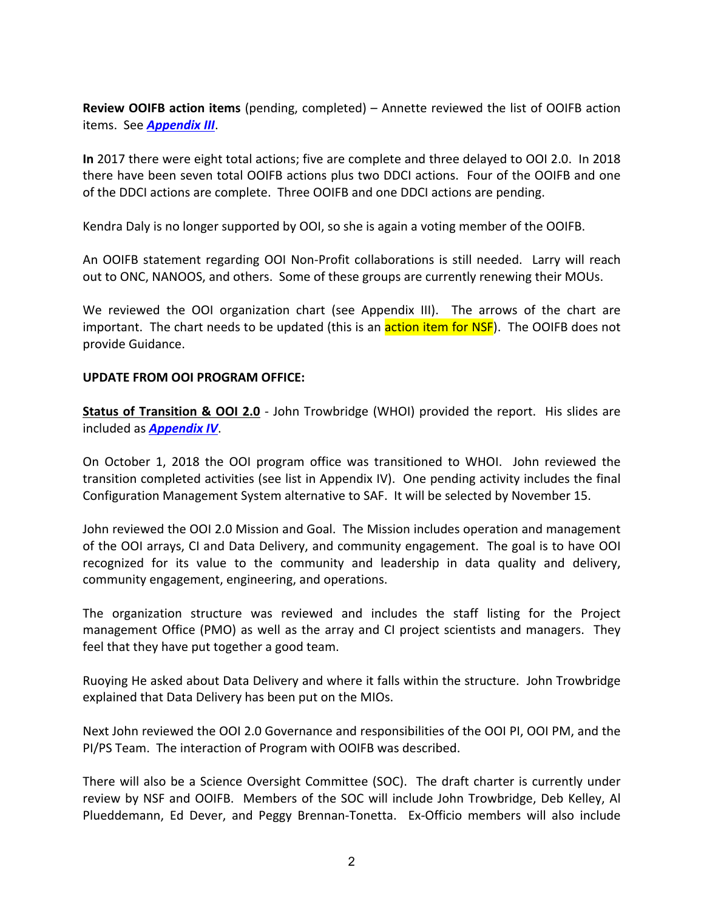**Review OOIFB action items** (pending, completed) – Annette reviewed the list of OOIFB action items. See **Appendix III**.

**In** 2017 there were eight total actions; five are complete and three delayed to OOI 2.0. In 2018 there have been seven total OOIFB actions plus two DDCI actions. Four of the OOIFB and one of the DDCI actions are complete. Three OOIFB and one DDCI actions are pending.

Kendra Daly is no longer supported by OOI, so she is again a voting member of the OOIFB.

An OOIFB statement regarding OOI Non-Profit collaborations is still needed. Larry will reach out to ONC, NANOOS, and others. Some of these groups are currently renewing their MOUs.

We reviewed the OOI organization chart (see Appendix III). The arrows of the chart are important. The chart needs to be updated (this is an **action item for NSF**). The OOIFB does not provide Guidance.

#### **UPDATE FROM OOI PROGRAM OFFICE:**

**Status of Transition & OOI 2.0** - John Trowbridge (WHOI) provided the report. His slides are included as **Appendix IV**.

On October 1, 2018 the OOI program office was transitioned to WHOI. John reviewed the transition completed activities (see list in Appendix IV). One pending activity includes the final Configuration Management System alternative to SAF. It will be selected by November 15.

John reviewed the OOI 2.0 Mission and Goal. The Mission includes operation and management of the OOI arrays, CI and Data Delivery, and community engagement. The goal is to have OOI recognized for its value to the community and leadership in data quality and delivery, community engagement, engineering, and operations.

The organization structure was reviewed and includes the staff listing for the Project management Office (PMO) as well as the array and CI project scientists and managers. They feel that they have put together a good team.

Ruoying He asked about Data Delivery and where it falls within the structure. John Trowbridge explained that Data Delivery has been put on the MIOs.

Next John reviewed the OOI 2.0 Governance and responsibilities of the OOI PI, OOI PM, and the PI/PS Team. The interaction of Program with OOIFB was described.

There will also be a Science Oversight Committee (SOC). The draft charter is currently under review by NSF and OOIFB. Members of the SOC will include John Trowbridge, Deb Kelley, Al Plueddemann, Ed Dever, and Peggy Brennan-Tonetta. Ex-Officio members will also include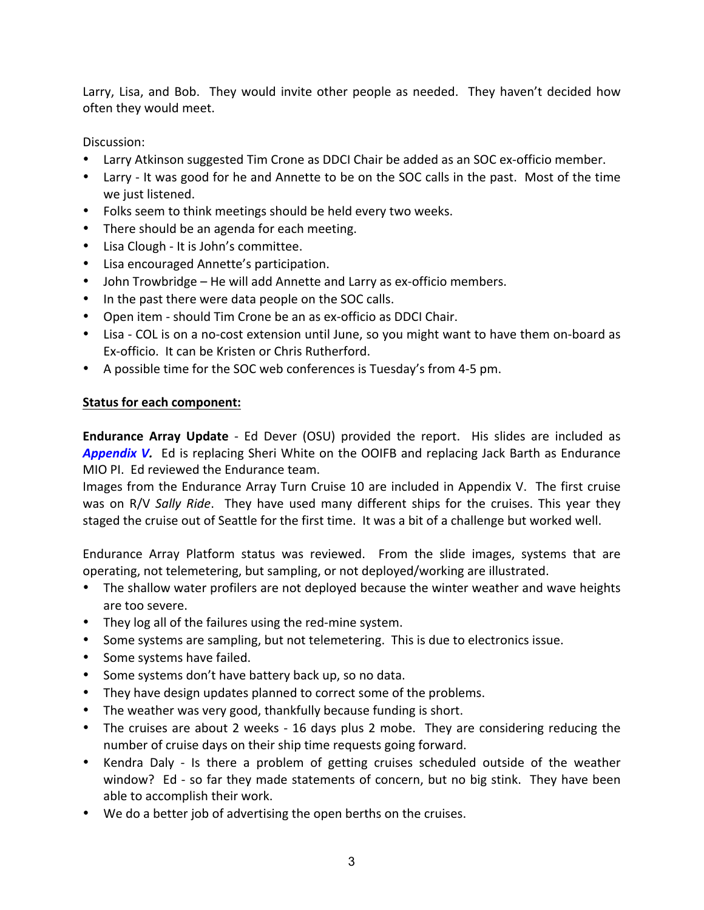Larry, Lisa, and Bob. They would invite other people as needed. They haven't decided how often they would meet.

Discussion:

- Larry Atkinson suggested Tim Crone as DDCI Chair be added as an SOC ex-officio member.
- Larry It was good for he and Annette to be on the SOC calls in the past. Most of the time we just listened.
- Folks seem to think meetings should be held every two weeks.
- There should be an agenda for each meeting.
- Lisa Clough It is John's committee.
- Lisa encouraged Annette's participation.
- John Trowbridge He will add Annette and Larry as ex-officio members.
- In the past there were data people on the SOC calls.
- Open item should Tim Crone be an as ex-officio as DDCI Chair.
- Lisa COL is on a no-cost extension until June, so you might want to have them on-board as Ex-officio. It can be Kristen or Chris Rutherford.
- A possible time for the SOC web conferences is Tuesday's from 4-5 pm.

### **Status for each component:**

**Endurance Array Update** - Ed Dever (OSU) provided the report. His slides are included as **Appendix V.** Ed is replacing Sheri White on the OOIFB and replacing Jack Barth as Endurance MIO PI. Ed reviewed the Endurance team.

Images from the Endurance Array Turn Cruise 10 are included in Appendix V. The first cruise was on R/V Sally Ride. They have used many different ships for the cruises. This year they staged the cruise out of Seattle for the first time. It was a bit of a challenge but worked well.

Endurance Array Platform status was reviewed. From the slide images, systems that are operating, not telemetering, but sampling, or not deployed/working are illustrated.

- The shallow water profilers are not deployed because the winter weather and wave heights are too severe.
- They log all of the failures using the red-mine system.
- Some systems are sampling, but not telemetering. This is due to electronics issue.
- Some systems have failed.
- Some systems don't have battery back up, so no data.
- They have design updates planned to correct some of the problems.
- The weather was very good, thankfully because funding is short.
- The cruises are about 2 weeks 16 days plus 2 mobe. They are considering reducing the number of cruise days on their ship time requests going forward.
- Kendra Daly Is there a problem of getting cruises scheduled outside of the weather window? Ed - so far they made statements of concern, but no big stink. They have been able to accomplish their work.
- We do a better job of advertising the open berths on the cruises.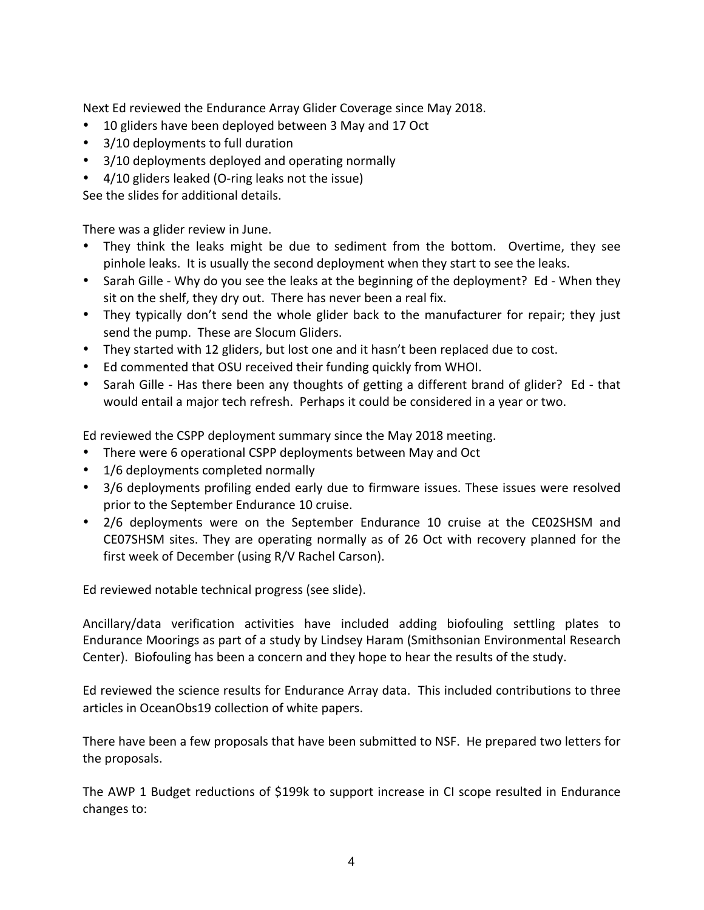Next Ed reviewed the Endurance Array Glider Coverage since May 2018.

- 10 gliders have been deployed between 3 May and 17 Oct
- 3/10 deployments to full duration
- 3/10 deployments deployed and operating normally
- $4/10$  gliders leaked (O-ring leaks not the issue)

See the slides for additional details.

There was a glider review in June.

- They think the leaks might be due to sediment from the bottom. Overtime, they see pinhole leaks. It is usually the second deployment when they start to see the leaks.
- Sarah Gille Why do you see the leaks at the beginning of the deployment? Ed When they sit on the shelf, they dry out. There has never been a real fix.
- They typically don't send the whole glider back to the manufacturer for repair; they just send the pump. These are Slocum Gliders.
- They started with 12 gliders, but lost one and it hasn't been replaced due to cost.
- Ed commented that OSU received their funding quickly from WHOI.
- Sarah Gille Has there been any thoughts of getting a different brand of glider? Ed that would entail a major tech refresh. Perhaps it could be considered in a year or two.

Ed reviewed the CSPP deployment summary since the May 2018 meeting.

- There were 6 operational CSPP deployments between May and Oct
- 1/6 deployments completed normally
- 3/6 deployments profiling ended early due to firmware issues. These issues were resolved prior to the September Endurance 10 cruise.
- 2/6 deployments were on the September Endurance 10 cruise at the CE02SHSM and CE07SHSM sites. They are operating normally as of 26 Oct with recovery planned for the first week of December (using R/V Rachel Carson).

Ed reviewed notable technical progress (see slide).

Ancillary/data verification activities have included adding biofouling settling plates to Endurance Moorings as part of a study by Lindsey Haram (Smithsonian Environmental Research Center). Biofouling has been a concern and they hope to hear the results of the study.

Ed reviewed the science results for Endurance Array data. This included contributions to three articles in OceanObs19 collection of white papers.

There have been a few proposals that have been submitted to NSF. He prepared two letters for the proposals.

The AWP 1 Budget reductions of \$199k to support increase in CI scope resulted in Endurance changes to: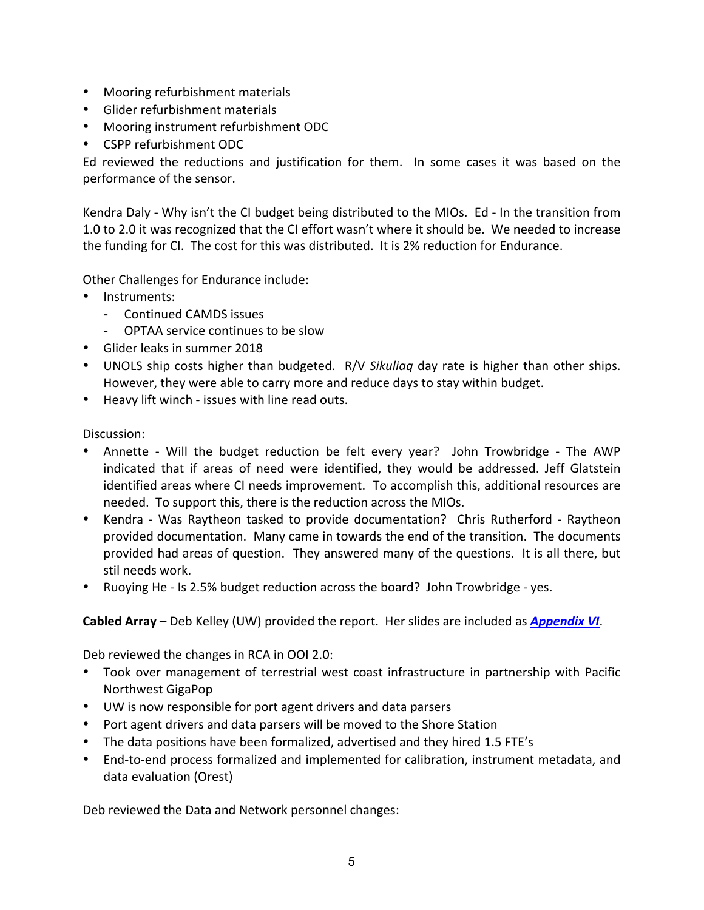- Mooring refurbishment materials
- Glider refurbishment materials
- Mooring instrument refurbishment ODC
- CSPP refurbishment ODC

Ed reviewed the reductions and justification for them. In some cases it was based on the performance of the sensor.

Kendra Daly - Why isn't the CI budget being distributed to the MIOs. Ed - In the transition from 1.0 to 2.0 it was recognized that the CI effort wasn't where it should be. We needed to increase the funding for CI. The cost for this was distributed. It is 2% reduction for Endurance.

Other Challenges for Endurance include:

- Instruments:
	- Continued CAMDS issues
	- OPTAA service continues to be slow
- Glider leaks in summer 2018
- UNOLS ship costs higher than budgeted. R/V *Sikuliag* day rate is higher than other ships. However, they were able to carry more and reduce days to stay within budget.
- Heavy lift winch issues with line read outs.

Discussion:

- Annette Will the budget reduction be felt every year? John Trowbridge The AWP indicated that if areas of need were identified, they would be addressed. Jeff Glatstein identified areas where CI needs improvement. To accomplish this, additional resources are needed. To support this, there is the reduction across the MIOs.
- Kendra Was Raytheon tasked to provide documentation? Chris Rutherford Raytheon provided documentation. Many came in towards the end of the transition. The documents provided had areas of question. They answered many of the questions. It is all there, but stil needs work.
- Ruoying He Is 2.5% budget reduction across the board? John Trowbridge yes.

### **Cabled Array** – Deb Kelley (UW) provided the report. Her slides are included as *Appendix VI*.

Deb reviewed the changes in RCA in OOI 2.0:

- Took over management of terrestrial west coast infrastructure in partnership with Pacific Northwest GigaPop
- UW is now responsible for port agent drivers and data parsers
- Port agent drivers and data parsers will be moved to the Shore Station
- The data positions have been formalized, advertised and they hired 1.5 FTE's
- End-to-end process formalized and implemented for calibration, instrument metadata, and data evaluation (Orest)

Deb reviewed the Data and Network personnel changes: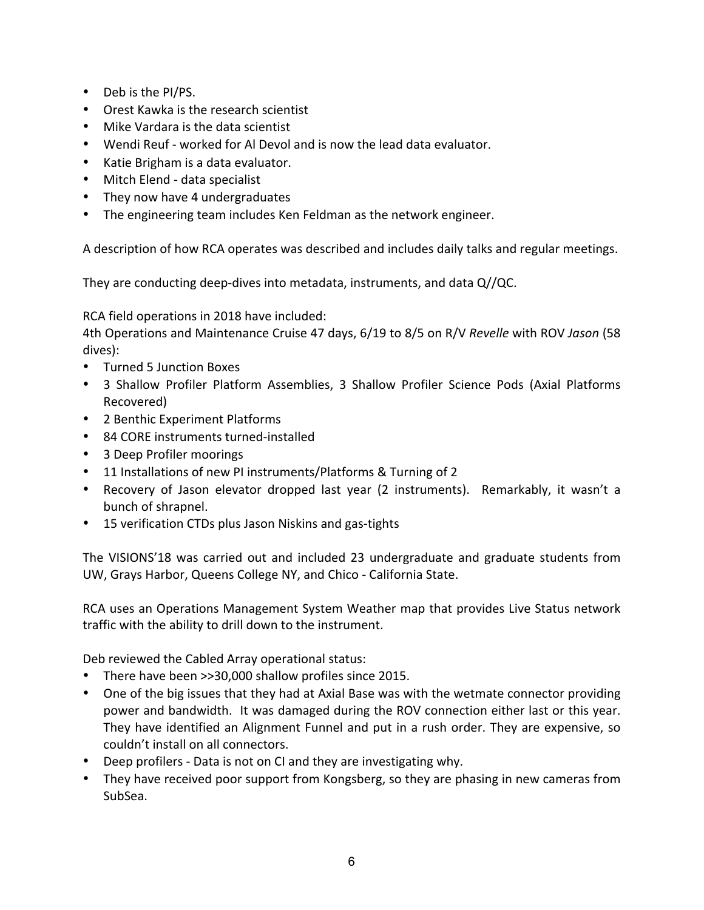- Deb is the PI/PS.
- Orest Kawka is the research scientist
- Mike Vardara is the data scientist
- Wendi Reuf worked for Al Devol and is now the lead data evaluator.
- Katie Brigham is a data evaluator.
- Mitch Elend data specialist
- They now have 4 undergraduates
- The engineering team includes Ken Feldman as the network engineer.

A description of how RCA operates was described and includes daily talks and regular meetings.

They are conducting deep-dives into metadata, instruments, and data  $Q/\text{QC}$ .

RCA field operations in 2018 have included:

4th Operations and Maintenance Cruise 47 days, 6/19 to 8/5 on R/V *Revelle* with ROV Jason (58 dives):

- Turned 5 Junction Boxes
- 3 Shallow Profiler Platform Assemblies, 3 Shallow Profiler Science Pods (Axial Platforms Recovered)
- 2 Benthic Experiment Platforms
- 84 CORE instruments turned-installed
- 3 Deep Profiler moorings
- 11 Installations of new PI instruments/Platforms & Turning of 2
- Recovery of Jason elevator dropped last year (2 instruments). Remarkably, it wasn't a bunch of shrapnel.
- 15 verification CTDs plus Jason Niskins and gas-tights

The VISIONS'18 was carried out and included 23 undergraduate and graduate students from UW, Grays Harbor, Queens College NY, and Chico - California State.

RCA uses an Operations Management System Weather map that provides Live Status network traffic with the ability to drill down to the instrument.

Deb reviewed the Cabled Array operational status:

- There have been >>30,000 shallow profiles since 2015.
- One of the big issues that they had at Axial Base was with the wetmate connector providing power and bandwidth. It was damaged during the ROV connection either last or this year. They have identified an Alignment Funnel and put in a rush order. They are expensive, so couldn't install on all connectors.
- Deep profilers Data is not on CI and they are investigating why.
- They have received poor support from Kongsberg, so they are phasing in new cameras from SubSea.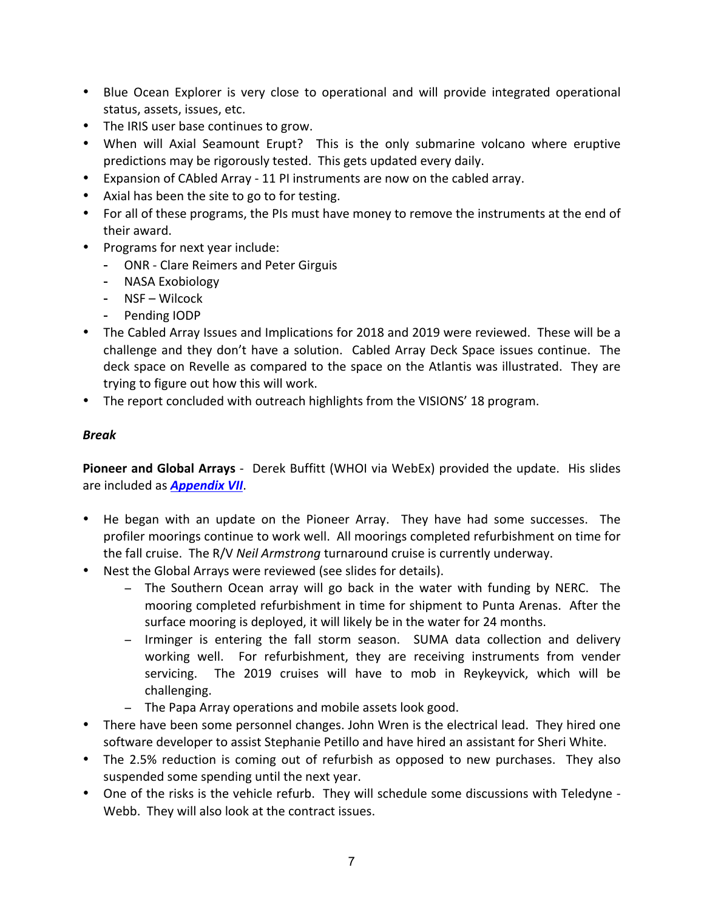- Blue Ocean Explorer is very close to operational and will provide integrated operational status, assets, issues, etc.
- The IRIS user base continues to grow.
- When will Axial Seamount Erupt? This is the only submarine volcano where eruptive predictions may be rigorously tested. This gets updated every daily.
- Expansion of CAbled Array 11 PI instruments are now on the cabled array.
- Axial has been the site to go to for testing.
- For all of these programs, the PIs must have money to remove the instruments at the end of their award.
- Programs for next year include:
	- ONR Clare Reimers and Peter Girguis
	- NASA Exobiology
	- NSF Wilcock
	- Pending IODP
- The Cabled Array Issues and Implications for 2018 and 2019 were reviewed. These will be a challenge and they don't have a solution. Cabled Array Deck Space issues continue. The deck space on Revelle as compared to the space on the Atlantis was illustrated. They are trying to figure out how this will work.
- The report concluded with outreach highlights from the VISIONS' 18 program.

### *Break*

**Pioneer and Global Arrays** - Derek Buffitt (WHOI via WebEx) provided the update. His slides are included as **Appendix VII**.

- He began with an update on the Pioneer Array. They have had some successes. The profiler moorings continue to work well. All moorings completed refurbishment on time for the fall cruise. The R/V *Neil Armstrong* turnaround cruise is currently underway.
- Nest the Global Arrays were reviewed (see slides for details).
	- − The Southern Ocean array will go back in the water with funding by NERC. The mooring completed refurbishment in time for shipment to Punta Arenas. After the surface mooring is deployed, it will likely be in the water for 24 months.
	- − Irminger is entering the fall storm season. SUMA data collection and delivery working well. For refurbishment, they are receiving instruments from vender servicing. The 2019 cruises will have to mob in Reykeyvick, which will be challenging.
	- − The Papa Array operations and mobile assets look good.
- There have been some personnel changes. John Wren is the electrical lead. They hired one software developer to assist Stephanie Petillo and have hired an assistant for Sheri White.
- The 2.5% reduction is coming out of refurbish as opposed to new purchases. They also suspended some spending until the next year.
- One of the risks is the vehicle refurb. They will schedule some discussions with Teledyne -Webb. They will also look at the contract issues.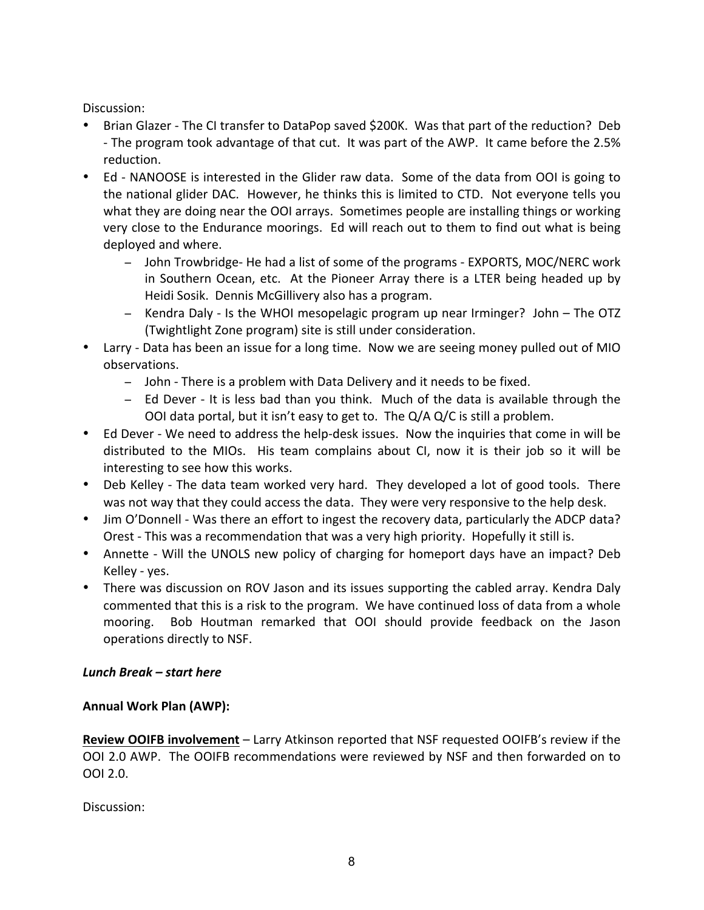Discussion:

- Brian Glazer The CI transfer to DataPop saved \$200K. Was that part of the reduction? Deb - The program took advantage of that cut. It was part of the AWP. It came before the 2.5% reduction.
- Ed NANOOSE is interested in the Glider raw data. Some of the data from OOI is going to the national glider DAC. However, he thinks this is limited to CTD. Not everyone tells you what they are doing near the OOI arrays. Sometimes people are installing things or working very close to the Endurance moorings. Ed will reach out to them to find out what is being deployed and where.
	- − John Trowbridge- He had a list of some of the programs EXPORTS, MOC/NERC work in Southern Ocean, etc. At the Pioneer Array there is a LTER being headed up by Heidi Sosik. Dennis McGillivery also has a program.
	- − Kendra Daly Is the WHOI mesopelagic program up near Irminger? John The OTZ (Twightlight Zone program) site is still under consideration.
- Larry Data has been an issue for a long time. Now we are seeing money pulled out of MIO observations.
	- − John There is a problem with Data Delivery and it needs to be fixed.
	- − Ed Dever It is less bad than you think. Much of the data is available through the OOI data portal, but it isn't easy to get to. The  $Q/A$   $Q/C$  is still a problem.
- Ed Dever We need to address the help-desk issues. Now the inquiries that come in will be distributed to the MIOs. His team complains about CI, now it is their job so it will be interesting to see how this works.
- Deb Kelley The data team worked very hard. They developed a lot of good tools. There was not way that they could access the data. They were very responsive to the help desk.
- Jim O'Donnell Was there an effort to ingest the recovery data, particularly the ADCP data? Orest - This was a recommendation that was a very high priority. Hopefully it still is.
- Annette Will the UNOLS new policy of charging for homeport days have an impact? Deb Kelley - yes.
- There was discussion on ROV Jason and its issues supporting the cabled array. Kendra Daly commented that this is a risk to the program. We have continued loss of data from a whole mooring. Bob Houtman remarked that OOI should provide feedback on the Jason operations directly to NSF.

### *Lunch Break – start here*

### **Annual Work Plan (AWP):**

**Review OOIFB involvement** – Larry Atkinson reported that NSF requested OOIFB's review if the OOI 2.0 AWP. The OOIFB recommendations were reviewed by NSF and then forwarded on to OOI 2.0.

Discussion: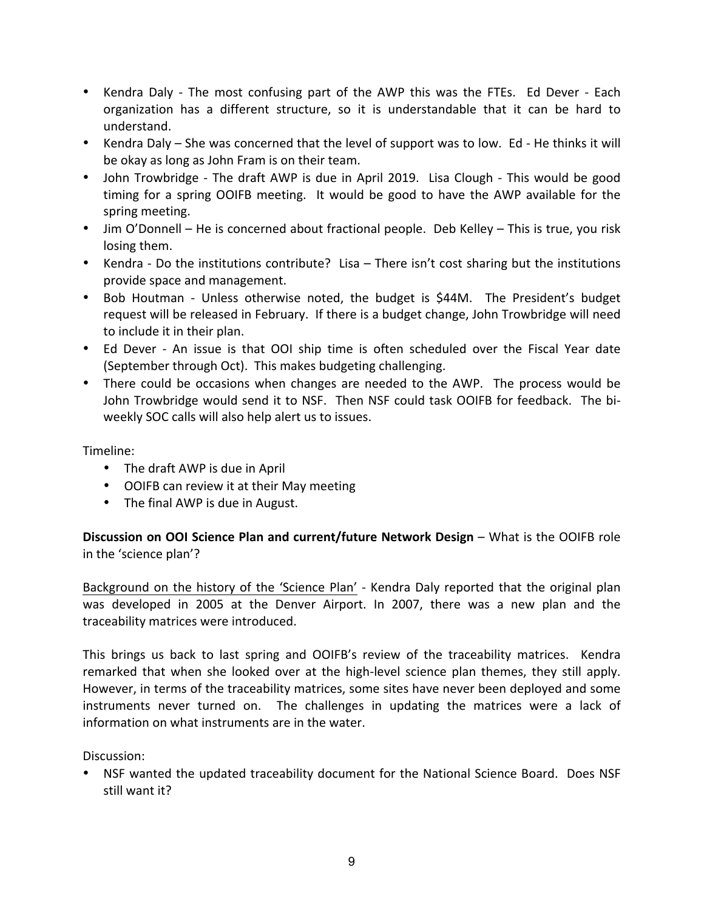- Kendra Daly The most confusing part of the AWP this was the FTEs. Ed Dever Each organization has a different structure, so it is understandable that it can be hard to understand.
- Kendra Daly She was concerned that the level of support was to low. Ed He thinks it will be okay as long as John Fram is on their team.
- John Trowbridge The draft AWP is due in April 2019. Lisa Clough This would be good timing for a spring OOIFB meeting. It would be good to have the AWP available for the spring meeting.
- Jim O'Donnell He is concerned about fractional people. Deb Kelley This is true, you risk losing them.
- Kendra Do the institutions contribute? Lisa There isn't cost sharing but the institutions provide space and management.
- Bob Houtman Unless otherwise noted, the budget is \$44M. The President's budget request will be released in February. If there is a budget change, John Trowbridge will need to include it in their plan.
- Ed Dever An issue is that OOI ship time is often scheduled over the Fiscal Year date (September through Oct). This makes budgeting challenging.
- There could be occasions when changes are needed to the AWP. The process would be John Trowbridge would send it to NSF. Then NSF could task OOIFB for feedback. The biweekly SOC calls will also help alert us to issues.

Timeline:

- The draft AWP is due in April
- OOIFB can review it at their May meeting
- The final AWP is due in August.

**Discussion on OOI Science Plan and current/future Network Design – What is the OOIFB role** in the 'science plan'?

Background on the history of the 'Science Plan' - Kendra Daly reported that the original plan was developed in 2005 at the Denver Airport. In 2007, there was a new plan and the traceability matrices were introduced.

This brings us back to last spring and OOIFB's review of the traceability matrices. Kendra remarked that when she looked over at the high-level science plan themes, they still apply. However, in terms of the traceability matrices, some sites have never been deployed and some instruments never turned on. The challenges in updating the matrices were a lack of information on what instruments are in the water.

Discussion:

• NSF wanted the updated traceability document for the National Science Board. Does NSF still want it?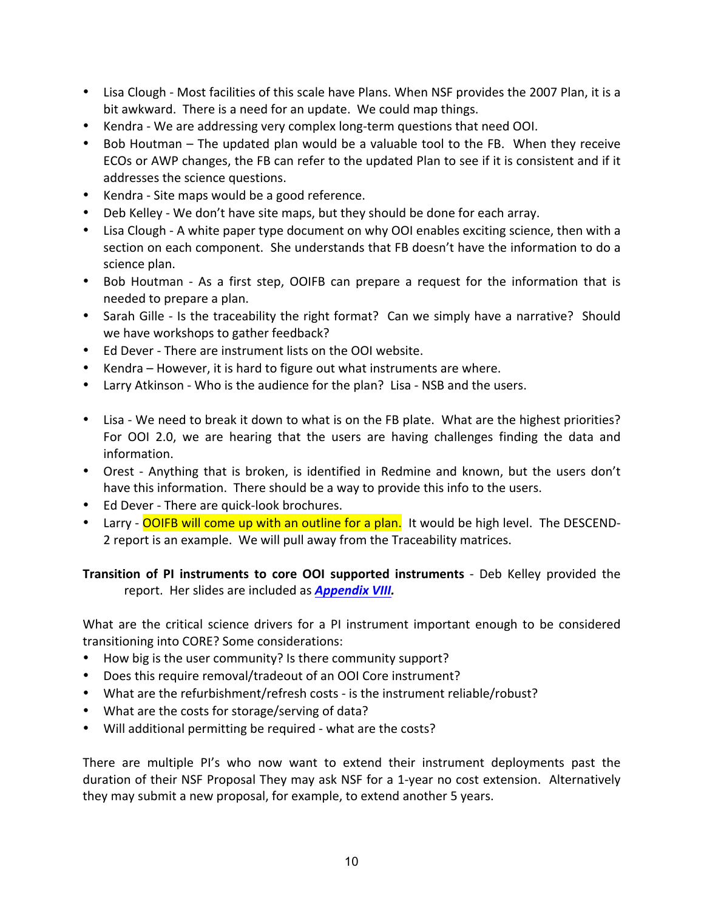- Lisa Clough Most facilities of this scale have Plans. When NSF provides the 2007 Plan, it is a bit awkward. There is a need for an update. We could map things.
- Kendra We are addressing very complex long-term questions that need OOI.
- Bob Houtman The updated plan would be a valuable tool to the FB. When they receive ECOs or AWP changes, the FB can refer to the updated Plan to see if it is consistent and if it addresses the science questions.
- Kendra Site maps would be a good reference.
- Deb Kelley We don't have site maps, but they should be done for each array.
- Lisa Clough A white paper type document on why OOI enables exciting science, then with a section on each component. She understands that FB doesn't have the information to do a science plan.
- Bob Houtman As a first step, OOIFB can prepare a request for the information that is needed to prepare a plan.
- Sarah Gille Is the traceability the right format? Can we simply have a narrative? Should we have workshops to gather feedback?
- Ed Dever There are instrument lists on the OOI website.
- Kendra However, it is hard to figure out what instruments are where.
- Larry Atkinson Who is the audience for the plan? Lisa NSB and the users.
- Lisa We need to break it down to what is on the FB plate. What are the highest priorities? For OOI 2.0, we are hearing that the users are having challenges finding the data and information.
- Orest Anything that is broken, is identified in Redmine and known, but the users don't have this information. There should be a way to provide this info to the users.
- Ed Dever There are quick-look brochures.
- Larry OOIFB will come up with an outline for a plan. It would be high level. The DESCEND-2 report is an example. We will pull away from the Traceability matrices.

**Transition of PI instruments to core OOI supported instruments** - Deb Kelley provided the report. Her slides are included as **Appendix VIII.** 

What are the critical science drivers for a PI instrument important enough to be considered transitioning into CORE? Some considerations:

- How big is the user community? Is there community support?
- Does this require removal/tradeout of an OOI Core instrument?
- What are the refurbishment/refresh costs is the instrument reliable/robust?
- What are the costs for storage/serving of data?
- Will additional permitting be required what are the costs?

There are multiple PI's who now want to extend their instrument deployments past the duration of their NSF Proposal They may ask NSF for a 1-year no cost extension. Alternatively they may submit a new proposal, for example, to extend another 5 years.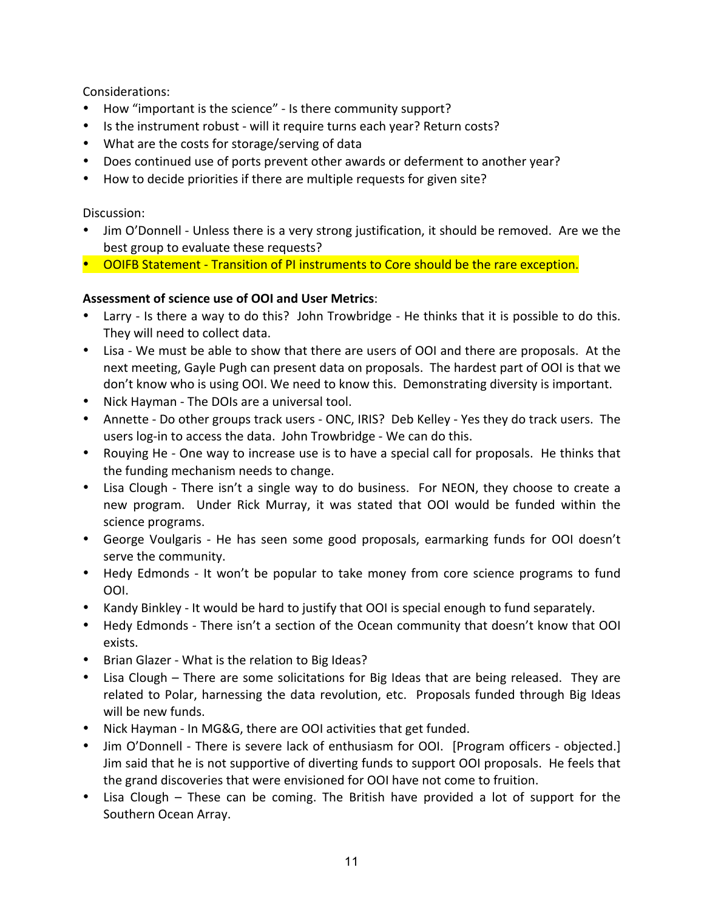Considerations: 

- How "important is the science" Is there community support?
- Is the instrument robust will it require turns each year? Return costs?
- What are the costs for storage/serving of data
- Does continued use of ports prevent other awards or deferment to another year?
- How to decide priorities if there are multiple requests for given site?

Discussion:

- Jim O'Donnell Unless there is a very strong justification, it should be removed. Are we the best group to evaluate these requests?
- OOIFB Statement Transition of PI instruments to Core should be the rare exception.

# Assessment of science use of OOI and User Metrics:

- Larry Is there a way to do this? John Trowbridge He thinks that it is possible to do this. They will need to collect data.
- Lisa We must be able to show that there are users of OOI and there are proposals. At the next meeting, Gayle Pugh can present data on proposals. The hardest part of OOI is that we don't know who is using OOI. We need to know this. Demonstrating diversity is important.
- Nick Hayman The DOIs are a universal tool.
- Annette Do other groups track users ONC, IRIS? Deb Kelley Yes they do track users. The users log-in to access the data. John Trowbridge - We can do this.
- Rouying He One way to increase use is to have a special call for proposals. He thinks that the funding mechanism needs to change.
- Lisa Clough There isn't a single way to do business. For NEON, they choose to create a new program. Under Rick Murray, it was stated that OOI would be funded within the science programs.
- George Voulgaris He has seen some good proposals, earmarking funds for OOI doesn't serve the community.
- Hedy Edmonds It won't be popular to take money from core science programs to fund OOI.
- Kandy Binkley It would be hard to justify that OOI is special enough to fund separately.
- Hedy Edmonds There isn't a section of the Ocean community that doesn't know that OOI exists.
- Brian Glazer What is the relation to Big Ideas?
- Lisa Clough There are some solicitations for Big Ideas that are being released. They are related to Polar, harnessing the data revolution, etc. Proposals funded through Big Ideas will be new funds.
- Nick Hayman In MG&G, there are OOI activities that get funded.
- Jim O'Donnell There is severe lack of enthusiasm for OOI. [Program officers objected.] Jim said that he is not supportive of diverting funds to support OOI proposals. He feels that the grand discoveries that were envisioned for OOI have not come to fruition.
- Lisa Clough These can be coming. The British have provided a lot of support for the Southern Ocean Array.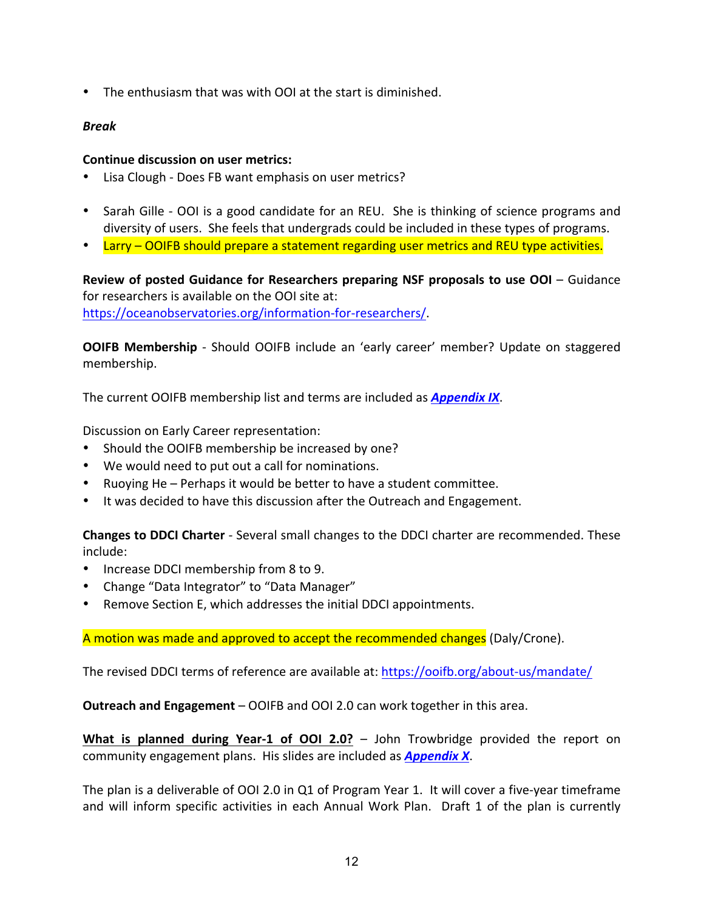• The enthusiasm that was with OOI at the start is diminished.

#### *Break*

#### **Continue discussion on user metrics:**

- Lisa Clough Does FB want emphasis on user metrics?
- Sarah Gille OOI is a good candidate for an REU. She is thinking of science programs and diversity of users. She feels that undergrads could be included in these types of programs.
- Larry OOIFB should prepare a statement regarding user metrics and REU type activities.

**Review of posted Guidance for Researchers preparing NSF proposals to use OOI** – Guidance for researchers is available on the OOI site at: https://oceanobservatories.org/information-for-researchers/. 

**OOIFB Membership** - Should OOIFB include an 'early career' member? Update on staggered membership. 

The current OOIFB membership list and terms are included as **Appendix IX**.

Discussion on Early Career representation:

- Should the OOIFB membership be increased by one?
- We would need to put out a call for nominations.
- Ruoving He Perhaps it would be better to have a student committee.
- It was decided to have this discussion after the Outreach and Engagement.

**Changes to DDCI Charter** - Several small changes to the DDCI charter are recommended. These include:

- Increase DDCI membership from 8 to 9.
- Change "Data Integrator" to "Data Manager"
- Remove Section E, which addresses the initial DDCI appointments.

A motion was made and approved to accept the recommended changes (Daly/Crone).

The revised DDCI terms of reference are available at: https://ooifb.org/about-us/mandate/

**Outreach and Engagement** – OOIFB and OOI 2.0 can work together in this area.

**What is planned during Year-1 of OOI 2.0?** – John Trowbridge provided the report on community engagement plans. His slides are included as **Appendix X**.

The plan is a deliverable of OOI 2.0 in Q1 of Program Year 1. It will cover a five-year timeframe and will inform specific activities in each Annual Work Plan. Draft 1 of the plan is currently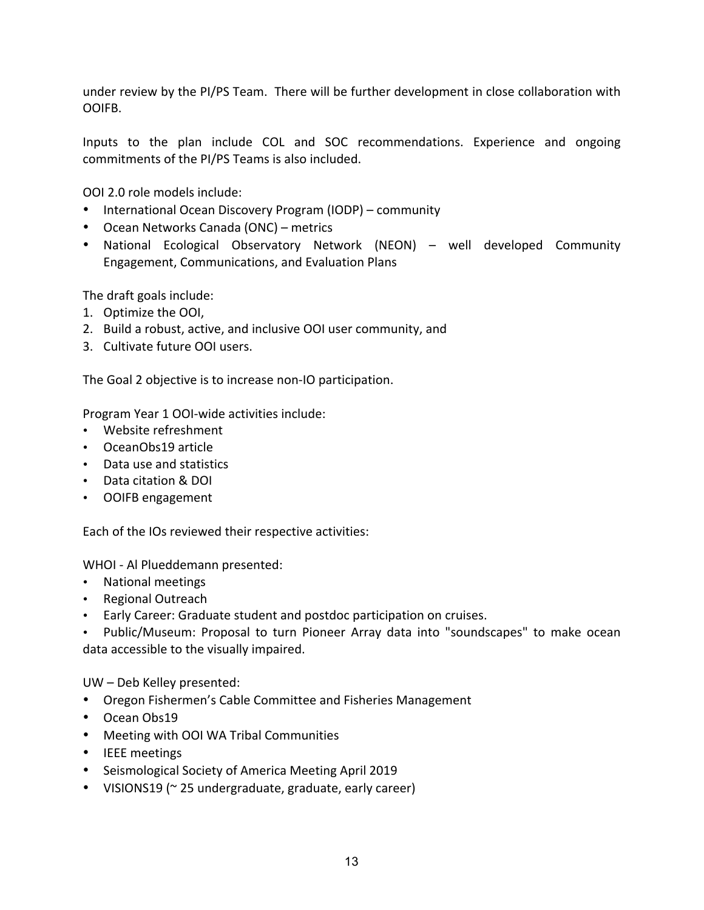under review by the PI/PS Team. There will be further development in close collaboration with OOIFB.

Inputs to the plan include COL and SOC recommendations. Experience and ongoing commitments of the PI/PS Teams is also included.

OOI 2.0 role models include:

- International Ocean Discovery Program (IODP) community
- Ocean Networks Canada (ONC) metrics
- National Ecological Observatory Network (NEON) well developed Community Engagement, Communications, and Evaluation Plans

The draft goals include:

- 1. Optimize the OOI,
- 2. Build a robust, active, and inclusive OOI user community, and
- 3. Cultivate future OOI users.

The Goal 2 objective is to increase non-IO participation.

Program Year 1 OOI-wide activities include:

- Website refreshment
- OceanObs19 article
- Data use and statistics
- Data citation & DOI
- OOIFB engagement

Each of the IOs reviewed their respective activities:

WHOI - Al Plueddemann presented:

- National meetings
- Regional Outreach
- Early Career: Graduate student and postdoc participation on cruises.

• Public/Museum: Proposal to turn Pioneer Array data into "soundscapes" to make ocean data accessible to the visually impaired.

UW - Deb Kelley presented:

- Oregon Fishermen's Cable Committee and Fisheries Management
- Ocean Obs19
- Meeting with OOI WA Tribal Communities
- IEEE meetings
- Seismological Society of America Meeting April 2019
- VISIONS19 (~ 25 undergraduate, graduate, early career)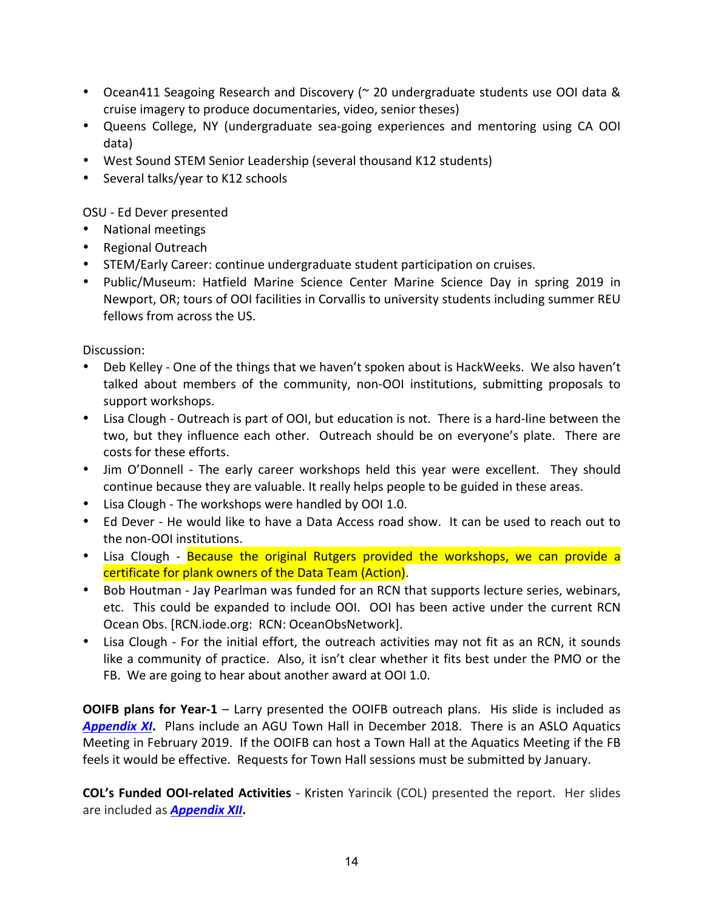- Ocean411 Seagoing Research and Discovery (~ 20 undergraduate students use OOI data & cruise imagery to produce documentaries, video, senior theses)
- Queens College, NY (undergraduate sea-going experiences and mentoring using CA OOI data)
- West Sound STEM Senior Leadership (several thousand K12 students)
- Several talks/year to K12 schools

OSU - Ed Dever presented

- National meetings
- Regional Outreach
- STEM/Early Career: continue undergraduate student participation on cruises.
- Public/Museum: Hatfield Marine Science Center Marine Science Day in spring 2019 in Newport, OR; tours of OOI facilities in Corvallis to university students including summer REU fellows from across the US.

Discussion:

- Deb Kelley One of the things that we haven't spoken about is HackWeeks. We also haven't talked about members of the community, non-OOI institutions, submitting proposals to support workshops.
- Lisa Clough Outreach is part of OOI, but education is not. There is a hard-line between the two, but they influence each other. Outreach should be on everyone's plate. There are costs for these efforts.
- Jim O'Donnell The early career workshops held this year were excellent. They should continue because they are valuable. It really helps people to be guided in these areas.
- Lisa Clough The workshops were handled by OOI 1.0.
- Ed Dever He would like to have a Data Access road show. It can be used to reach out to the non-OOI institutions.
- Lisa Clough Because the original Rutgers provided the workshops, we can provide a certificate for plank owners of the Data Team (Action).
- Bob Houtman Jay Pearlman was funded for an RCN that supports lecture series, webinars, etc. This could be expanded to include OOI. OOI has been active under the current RCN Ocean Obs. [RCN.iode.org: RCN: OceanObsNetwork].
- Lisa Clough For the initial effort, the outreach activities may not fit as an RCN, it sounds like a community of practice. Also, it isn't clear whether it fits best under the PMO or the FB. We are going to hear about another award at OOI 1.0.

**OOIFB plans for Year-1** – Larry presented the OOIFB outreach plans. His slide is included as **Appendix XI.** Plans include an AGU Town Hall in December 2018. There is an ASLO Aquatics Meeting in February 2019. If the OOIFB can host a Town Hall at the Aquatics Meeting if the FB feels it would be effective. Requests for Town Hall sessions must be submitted by January.

**COL's Funded OOI-related Activities** - Kristen Yarincik (COL) presented the report. Her slides are included as **Appendix XII**.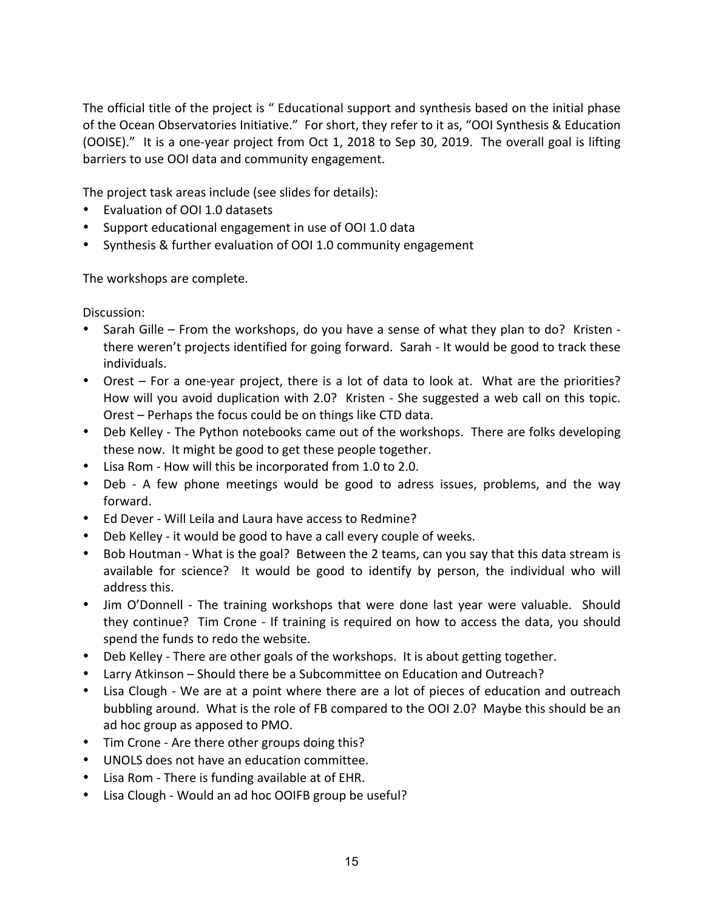The official title of the project is " Educational support and synthesis based on the initial phase of the Ocean Observatories Initiative." For short, they refer to it as, "OOI Synthesis & Education (OOISE)." It is a one-year project from Oct 1, 2018 to Sep 30, 2019. The overall goal is lifting barriers to use OOI data and community engagement.

The project task areas include (see slides for details):

- Evaluation of OOI 1.0 datasets
- Support educational engagement in use of OOI 1.0 data
- Synthesis & further evaluation of OOI 1.0 community engagement

The workshops are complete.

Discussion:

- Sarah Gille From the workshops, do you have a sense of what they plan to do? Kristen there weren't projects identified for going forward. Sarah - It would be good to track these individuals.
- Orest For a one-year project, there is a lot of data to look at. What are the priorities? How will you avoid duplication with 2.0? Kristen - She suggested a web call on this topic. Orest – Perhaps the focus could be on things like CTD data.
- Deb Kelley The Python notebooks came out of the workshops. There are folks developing these now. It might be good to get these people together.
- Lisa Rom How will this be incorporated from 1.0 to 2.0.
- Deb A few phone meetings would be good to adress issues, problems, and the way forward.
- Ed Dever Will Leila and Laura have access to Redmine?
- Deb Kelley it would be good to have a call every couple of weeks.
- Bob Houtman What is the goal? Between the 2 teams, can you say that this data stream is available for science? It would be good to identify by person, the individual who will address this.
- Jim O'Donnell The training workshops that were done last year were valuable. Should they continue? Tim Crone - If training is required on how to access the data, you should spend the funds to redo the website.
- Deb Kelley There are other goals of the workshops. It is about getting together.
- Larry Atkinson Should there be a Subcommittee on Education and Outreach?
- Lisa Clough We are at a point where there are a lot of pieces of education and outreach bubbling around. What is the role of FB compared to the OOI 2.0? Maybe this should be an ad hoc group as apposed to PMO.
- Tim Crone Are there other groups doing this?
- UNOLS does not have an education committee.
- Lisa Rom There is funding available at of EHR.
- Lisa Clough Would an ad hoc OOIFB group be useful?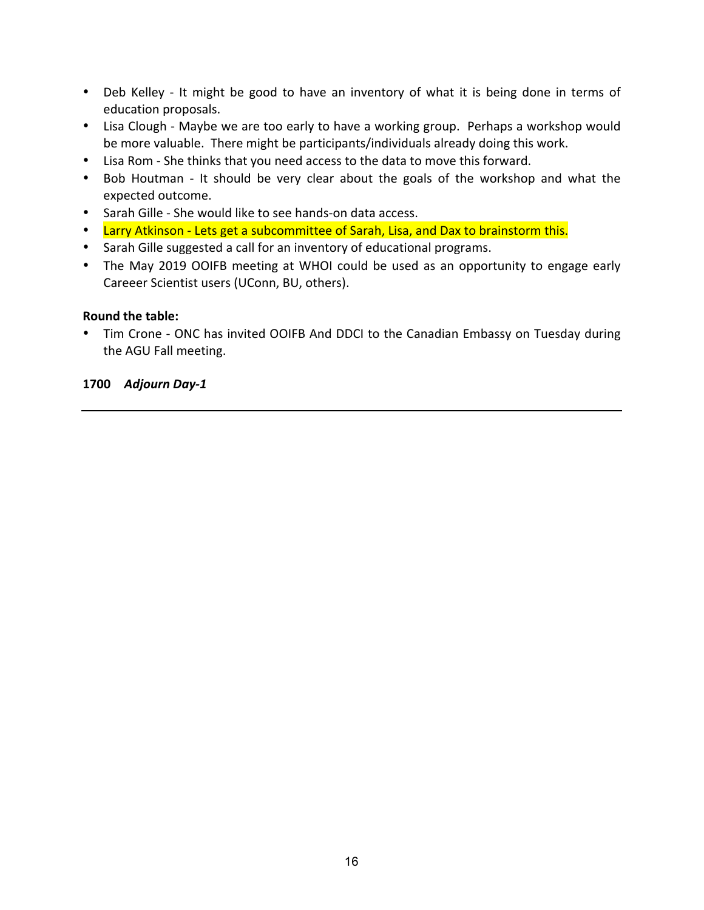- Deb Kelley It might be good to have an inventory of what it is being done in terms of education proposals.
- Lisa Clough Maybe we are too early to have a working group. Perhaps a workshop would be more valuable. There might be participants/individuals already doing this work.
- Lisa Rom She thinks that you need access to the data to move this forward.
- Bob Houtman It should be very clear about the goals of the workshop and what the expected outcome.
- Sarah Gille She would like to see hands-on data access.
- Larry Atkinson Lets get a subcommittee of Sarah, Lisa, and Dax to brainstorm this.
- Sarah Gille suggested a call for an inventory of educational programs.
- The May 2019 OOIFB meeting at WHOI could be used as an opportunity to engage early Careeer Scientist users (UConn, BU, others).

#### **Round the table:**

• Tim Crone - ONC has invited OOIFB And DDCI to the Canadian Embassy on Tuesday during the AGU Fall meeting.

#### **1700** *Adjourn Day-1*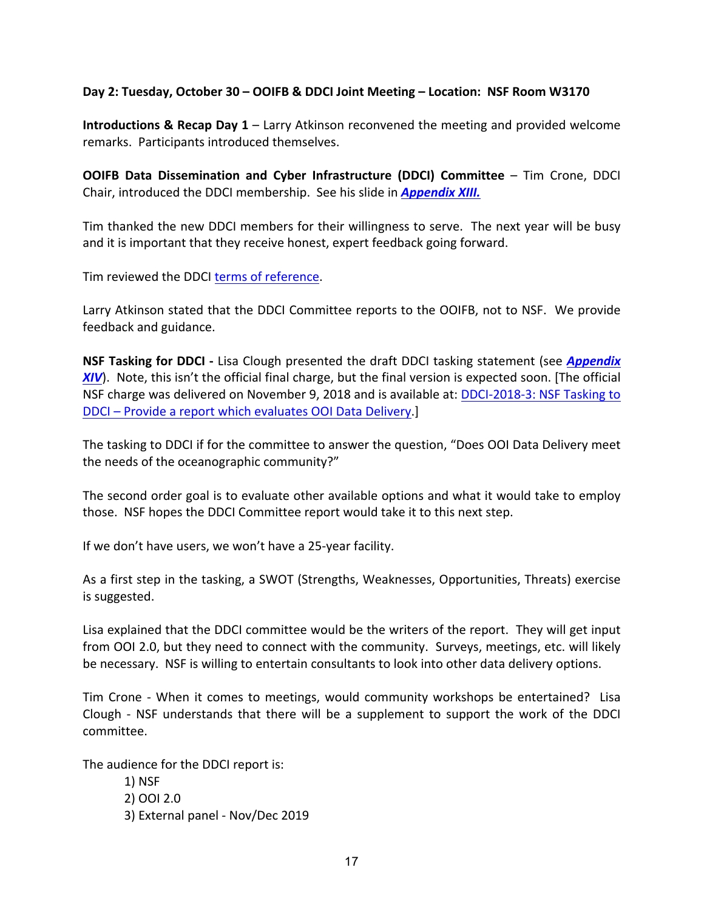#### Day 2: Tuesday, October 30 – OOIFB & DDCI Joint Meeting – Location: NSF Room W3170

**Introductions & Recap Day 1** – Larry Atkinson reconvened the meeting and provided welcome remarks. Participants introduced themselves.

**OOIFB Data Dissemination and Cyber Infrastructure (DDCI) Committee** – Tim Crone, DDCI Chair, introduced the DDCI membership. See his slide in **Appendix XIII.** 

Tim thanked the new DDCI members for their willingness to serve. The next year will be busy and it is important that they receive honest, expert feedback going forward.

Tim reviewed the DDCI terms of reference.

Larry Atkinson stated that the DDCI Committee reports to the OOIFB, not to NSF. We provide feedback and guidance.

**NSF Tasking for DDCI** - Lisa Clough presented the draft DDCI tasking statement (see *Appendix* XIV). Note, this isn't the official final charge, but the final version is expected soon. [The official NSF charge was delivered on November 9, 2018 and is available at: DDCI-2018-3: NSF Tasking to DDCI – Provide a report which evaluates OOI Data Delivery.

The tasking to DDCI if for the committee to answer the question, "Does OOI Data Delivery meet the needs of the oceanographic community?"

The second order goal is to evaluate other available options and what it would take to employ those. NSF hopes the DDCI Committee report would take it to this next step.

If we don't have users, we won't have a 25-year facility.

As a first step in the tasking, a SWOT (Strengths, Weaknesses, Opportunities, Threats) exercise is suggested.

Lisa explained that the DDCI committee would be the writers of the report. They will get input from OOI 2.0, but they need to connect with the community. Surveys, meetings, etc. will likely be necessary. NSF is willing to entertain consultants to look into other data delivery options.

Tim Crone - When it comes to meetings, would community workshops be entertained? Lisa Clough - NSF understands that there will be a supplement to support the work of the DDCI committee.

The audience for the DDCI report is:

1) NSF 2) OOI 2.0 3) External panel - Nov/Dec 2019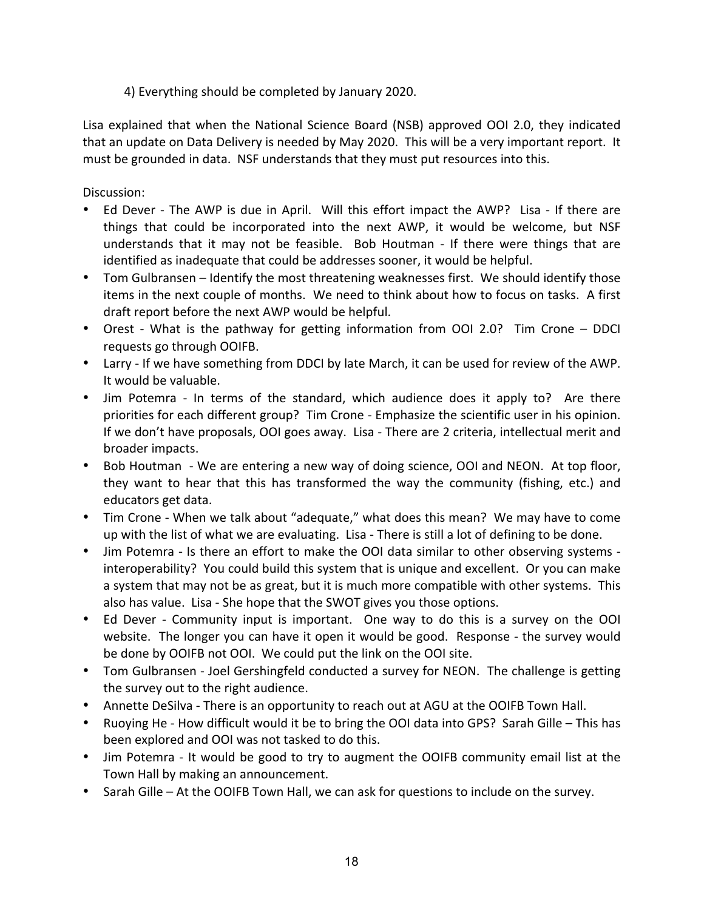# 4) Everything should be completed by January 2020.

Lisa explained that when the National Science Board (NSB) approved OOI 2.0, they indicated that an update on Data Delivery is needed by May 2020. This will be a very important report. It must be grounded in data. NSF understands that they must put resources into this.

### Discussion:

- Ed Dever The AWP is due in April. Will this effort impact the AWP? Lisa If there are things that could be incorporated into the next AWP, it would be welcome, but NSF understands that it may not be feasible. Bob Houtman - If there were things that are identified as inadequate that could be addresses sooner, it would be helpful.
- Tom Gulbransen Identify the most threatening weaknesses first. We should identify those items in the next couple of months. We need to think about how to focus on tasks. A first draft report before the next AWP would be helpful.
- Orest What is the pathway for getting information from OOI 2.0? Tim Crone DDCI requests go through OOIFB.
- Larry If we have something from DDCI by late March, it can be used for review of the AWP. It would be valuable.
- Jim Potemra In terms of the standard, which audience does it apply to? Are there priorities for each different group? Tim Crone - Emphasize the scientific user in his opinion. If we don't have proposals, OOI goes away. Lisa - There are 2 criteria, intellectual merit and broader impacts.
- Bob Houtman We are entering a new way of doing science, OOI and NEON. At top floor, they want to hear that this has transformed the way the community (fishing, etc.) and educators get data.
- Tim Crone When we talk about "adequate," what does this mean? We may have to come up with the list of what we are evaluating. Lisa - There is still a lot of defining to be done.
- Jim Potemra Is there an effort to make the OOI data similar to other observing systems interoperability? You could build this system that is unique and excellent. Or you can make a system that may not be as great, but it is much more compatible with other systems. This also has value. Lisa - She hope that the SWOT gives you those options.
- Ed Dever Community input is important. One way to do this is a survey on the OOI website. The longer you can have it open it would be good. Response - the survey would be done by OOIFB not OOI. We could put the link on the OOI site.
- Tom Gulbransen Joel Gershingfeld conducted a survey for NEON. The challenge is getting the survey out to the right audience.
- Annette DeSilva There is an opportunity to reach out at AGU at the OOIFB Town Hall.
- Ruoying He How difficult would it be to bring the OOI data into GPS? Sarah Gille This has been explored and OOI was not tasked to do this.
- Jim Potemra It would be good to try to augment the OOIFB community email list at the Town Hall by making an announcement.
- Sarah Gille At the OOIFB Town Hall, we can ask for questions to include on the survey.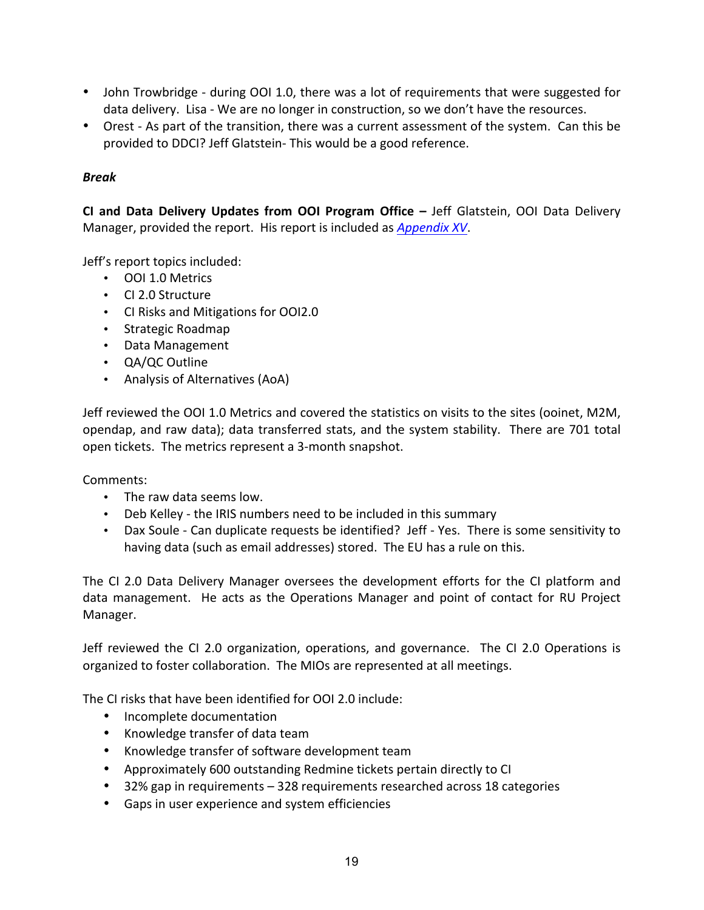- John Trowbridge during OOI 1.0, there was a lot of requirements that were suggested for data delivery. Lisa - We are no longer in construction, so we don't have the resources.
- Orest As part of the transition, there was a current assessment of the system. Can this be provided to DDCI? Jeff Glatstein- This would be a good reference.

# *Break*

**CI and Data Delivery Updates from OOI Program Office – Jeff Glatstein, OOI Data Delivery** Manager, provided the report. His report is included as *Appendix XV*.

Jeff's report topics included:

- OOI 1.0 Metrics
- CI 2.0 Structure
- CI Risks and Mitigations for OOI2.0
- Strategic Roadmap
- Data Management
- QA/QC Outline
- Analysis of Alternatives (AoA)

Jeff reviewed the OOI 1.0 Metrics and covered the statistics on visits to the sites (ooinet, M2M, opendap, and raw data); data transferred stats, and the system stability. There are 701 total open tickets. The metrics represent a 3-month snapshot.

Comments:

- The raw data seems low.
- Deb Kelley the IRIS numbers need to be included in this summary
- Dax Soule Can duplicate requests be identified? Jeff Yes. There is some sensitivity to having data (such as email addresses) stored. The EU has a rule on this.

The CI 2.0 Data Delivery Manager oversees the development efforts for the CI platform and data management. He acts as the Operations Manager and point of contact for RU Project Manager.

Jeff reviewed the CI 2.0 organization, operations, and governance. The CI 2.0 Operations is organized to foster collaboration. The MIOs are represented at all meetings.

The CI risks that have been identified for OOI 2.0 include:

- Incomplete documentation
- Knowledge transfer of data team
- Knowledge transfer of software development team
- Approximately 600 outstanding Redmine tickets pertain directly to CI
- 32% gap in requirements  $-$  328 requirements researched across 18 categories
- Gaps in user experience and system efficiencies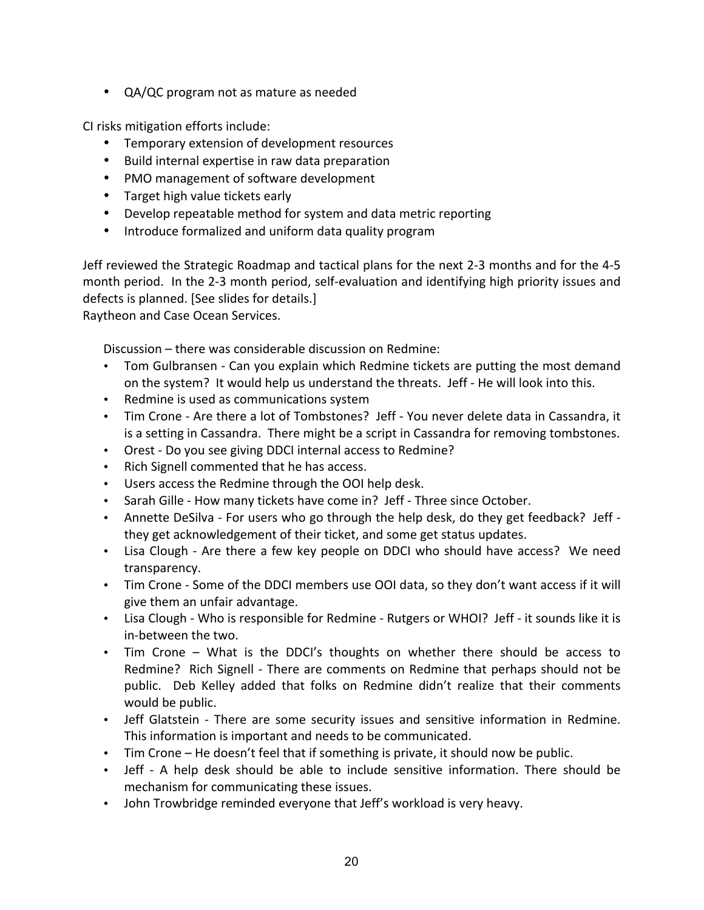• QA/QC program not as mature as needed

CI risks mitigation efforts include:

- Temporary extension of development resources
- Build internal expertise in raw data preparation
- PMO management of software development
- Target high value tickets early
- Develop repeatable method for system and data metric reporting
- Introduce formalized and uniform data quality program

Jeff reviewed the Strategic Roadmap and tactical plans for the next 2-3 months and for the 4-5 month period. In the 2-3 month period, self-evaluation and identifying high priority issues and defects is planned. [See slides for details.]

Raytheon and Case Ocean Services.

Discussion – there was considerable discussion on Redmine:

- Tom Gulbransen Can you explain which Redmine tickets are putting the most demand on the system? It would help us understand the threats. Jeff - He will look into this.
- Redmine is used as communications system
- Tim Crone Are there a lot of Tombstones? Jeff You never delete data in Cassandra, it is a setting in Cassandra. There might be a script in Cassandra for removing tombstones.
- Orest Do you see giving DDCI internal access to Redmine?
- Rich Signell commented that he has access.
- Users access the Redmine through the OOI help desk.
- Sarah Gille How many tickets have come in? Jeff Three since October.
- Annette DeSilva For users who go through the help desk, do they get feedback? Jeff they get acknowledgement of their ticket, and some get status updates.
- Lisa Clough Are there a few key people on DDCI who should have access? We need transparency.
- Tim Crone Some of the DDCI members use OOI data, so they don't want access if it will give them an unfair advantage.
- Lisa Clough Who is responsible for Redmine Rutgers or WHOI? Jeff it sounds like it is in-between the two.
- Tim Crone What is the DDCI's thoughts on whether there should be access to Redmine? Rich Signell - There are comments on Redmine that perhaps should not be public. Deb Kelley added that folks on Redmine didn't realize that their comments would be public.
- Jeff Glatstein There are some security issues and sensitive information in Redmine. This information is important and needs to be communicated.
- Tim Crone He doesn't feel that if something is private, it should now be public.
- Jeff A help desk should be able to include sensitive information. There should be mechanism for communicating these issues.
- John Trowbridge reminded everyone that Jeff's workload is very heavy.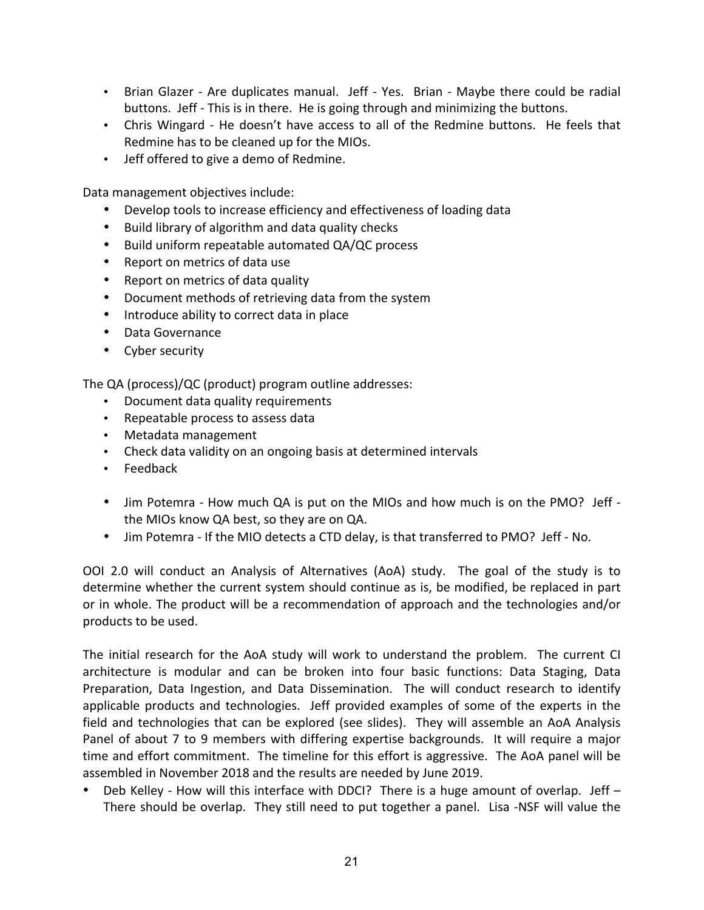- Brian Glazer Are duplicates manual. Jeff Yes. Brian Maybe there could be radial buttons. Jeff - This is in there. He is going through and minimizing the buttons.
- Chris Wingard He doesn't have access to all of the Redmine buttons. He feels that Redmine has to be cleaned up for the MIOs.
- Jeff offered to give a demo of Redmine.

Data management objectives include:

- Develop tools to increase efficiency and effectiveness of loading data
- Build library of algorithm and data quality checks
- Build uniform repeatable automated QA/QC process
- Report on metrics of data use
- Report on metrics of data quality
- Document methods of retrieving data from the system
- Introduce ability to correct data in place
- Data Governance
- Cyber security

The QA (process)/QC (product) program outline addresses:

- Document data quality requirements
- Repeatable process to assess data
- Metadata management
- Check data validity on an ongoing basis at determined intervals
- Feedback
- Jim Potemra How much QA is put on the MIOs and how much is on the PMO? Jeff the MIOs know QA best, so they are on QA.
- Jim Potemra If the MIO detects a CTD delay, is that transferred to PMO? Jeff No.

OOI 2.0 will conduct an Analysis of Alternatives (AoA) study. The goal of the study is to determine whether the current system should continue as is, be modified, be replaced in part or in whole. The product will be a recommendation of approach and the technologies and/or products to be used.

The initial research for the AoA study will work to understand the problem. The current CI architecture is modular and can be broken into four basic functions: Data Staging, Data Preparation, Data Ingestion, and Data Dissemination. The will conduct research to identify applicable products and technologies. Jeff provided examples of some of the experts in the field and technologies that can be explored (see slides). They will assemble an AoA Analysis Panel of about 7 to 9 members with differing expertise backgrounds. It will require a major time and effort commitment. The timeline for this effort is aggressive. The AoA panel will be assembled in November 2018 and the results are needed by June 2019.

• Deb Kelley - How will this interface with DDCI? There is a huge amount of overlap. Jeff  $-$ There should be overlap. They still need to put together a panel. Lisa -NSF will value the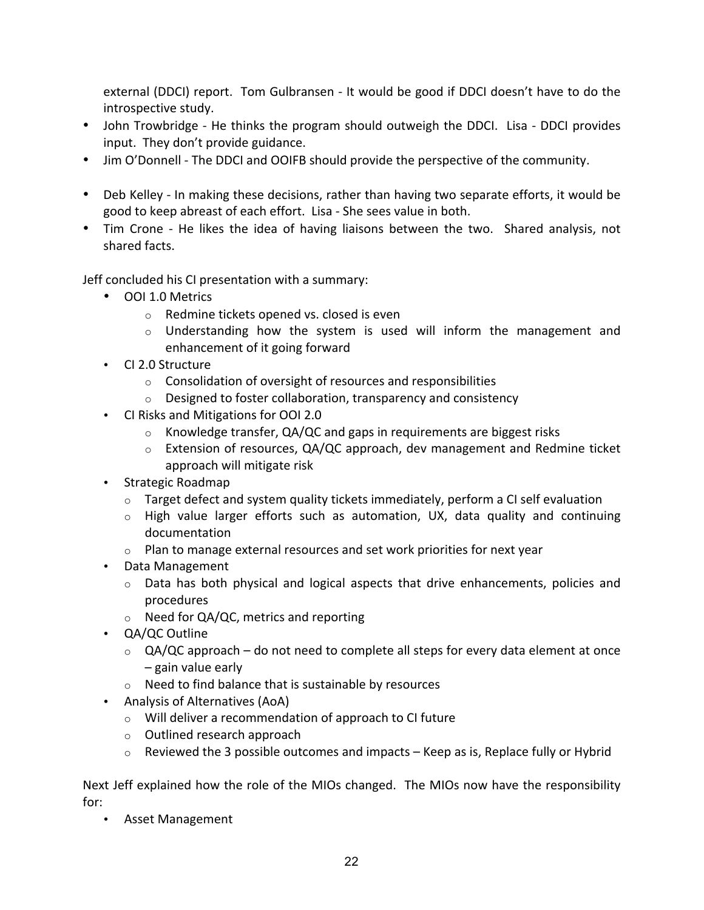external (DDCI) report. Tom Gulbransen - It would be good if DDCI doesn't have to do the introspective study.

- John Trowbridge He thinks the program should outweigh the DDCI. Lisa DDCI provides input. They don't provide guidance.
- Jim O'Donnell The DDCI and OOIFB should provide the perspective of the community.
- Deb Kelley In making these decisions, rather than having two separate efforts, it would be good to keep abreast of each effort. Lisa - She sees value in both.
- Tim Crone He likes the idea of having liaisons between the two. Shared analysis, not shared facts.

Jeff concluded his CI presentation with a summary:

- OOI 1.0 Metrics
	- $\circ$  Redmine tickets opened vs. closed is even
	- $\circ$  Understanding how the system is used will inform the management and enhancement of it going forward
- CI 2.0 Structure
	- $\circ$  Consolidation of oversight of resources and responsibilities
	- $\circ$  Designed to foster collaboration, transparency and consistency
- CI Risks and Mitigations for OOI 2.0
	- $\circ$  Knowledge transfer, QA/QC and gaps in requirements are biggest risks
	- $\circ$  Extension of resources, QA/QC approach, dev management and Redmine ticket approach will mitigate risk
- Strategic Roadmap
	- $\circ$  Target defect and system quality tickets immediately, perform a CI self evaluation
	- $\circ$  High value larger efforts such as automation, UX, data quality and continuing documentation
	- $\circ$  Plan to manage external resources and set work priorities for next year
- Data Management
	- $\circ$  Data has both physical and logical aspects that drive enhancements, policies and procedures
	- o Need for QA/QC, metrics and reporting
- **QA/QC** Outline
	- $\circ$  QA/QC approach do not need to complete all steps for every data element at once  $-$  gain value early
	- $\circ$  Need to find balance that is sustainable by resources
- Analysis of Alternatives (AoA)
	- $\circ$  Will deliver a recommendation of approach to CI future
	- $\circ$  Outlined research approach
	- $\circ$  Reviewed the 3 possible outcomes and impacts Keep as is, Replace fully or Hybrid

Next Jeff explained how the role of the MIOs changed. The MIOs now have the responsibility for: 

• Asset Management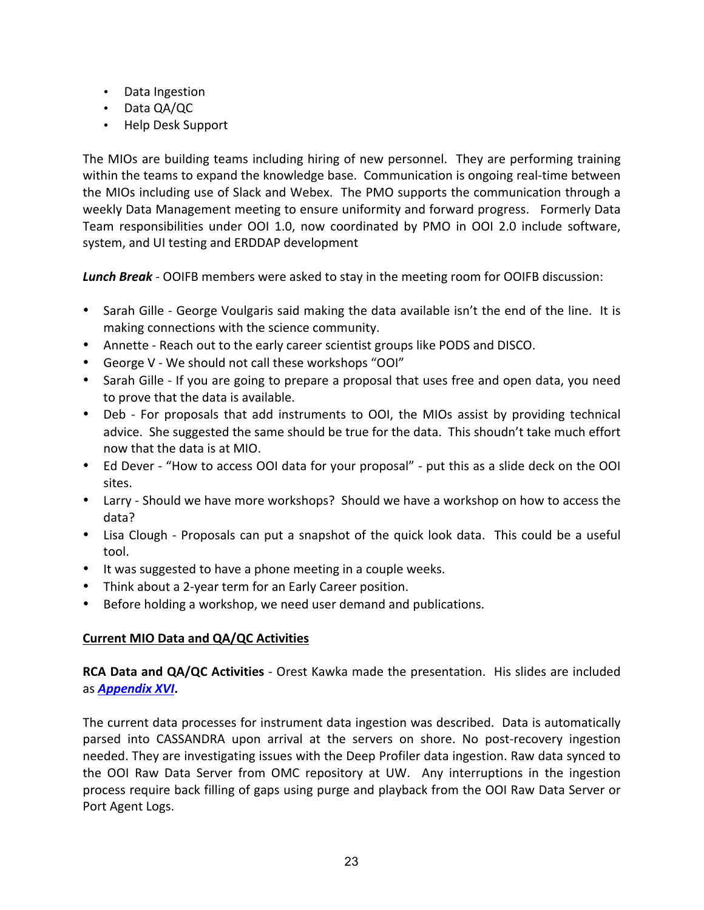- Data Ingestion
- Data QA/QC
- Help Desk Support

The MIOs are building teams including hiring of new personnel. They are performing training within the teams to expand the knowledge base. Communication is ongoing real-time between the MIOs including use of Slack and Webex. The PMO supports the communication through a weekly Data Management meeting to ensure uniformity and forward progress. Formerly Data Team responsibilities under OOI 1.0, now coordinated by PMO in OOI 2.0 include software, system, and UI testing and ERDDAP development

**Lunch Break** - OOIFB members were asked to stay in the meeting room for OOIFB discussion:

- Sarah Gille George Voulgaris said making the data available isn't the end of the line. It is making connections with the science community.
- Annette Reach out to the early career scientist groups like PODS and DISCO.
- George V We should not call these workshops "OOI"
- Sarah Gille If you are going to prepare a proposal that uses free and open data, you need to prove that the data is available.
- Deb For proposals that add instruments to OOI, the MIOs assist by providing technical advice. She suggested the same should be true for the data. This shoudn't take much effort now that the data is at MIO.
- Ed Dever "How to access OOI data for your proposal" put this as a slide deck on the OOI sites.
- Larry Should we have more workshops? Should we have a workshop on how to access the data?
- Lisa Clough Proposals can put a snapshot of the quick look data. This could be a useful tool.
- It was suggested to have a phone meeting in a couple weeks.
- Think about a 2-year term for an Early Career position.
- Before holding a workshop, we need user demand and publications.

### **Current MIO Data and QA/QC Activities**

**RCA Data and QA/QC Activities** - Orest Kawka made the presentation. His slides are included as **Appendix XVI**.

The current data processes for instrument data ingestion was described. Data is automatically parsed into CASSANDRA upon arrival at the servers on shore. No post-recovery ingestion needed. They are investigating issues with the Deep Profiler data ingestion. Raw data synced to the OOI Raw Data Server from OMC repository at UW. Any interruptions in the ingestion process require back filling of gaps using purge and playback from the OOI Raw Data Server or Port Agent Logs.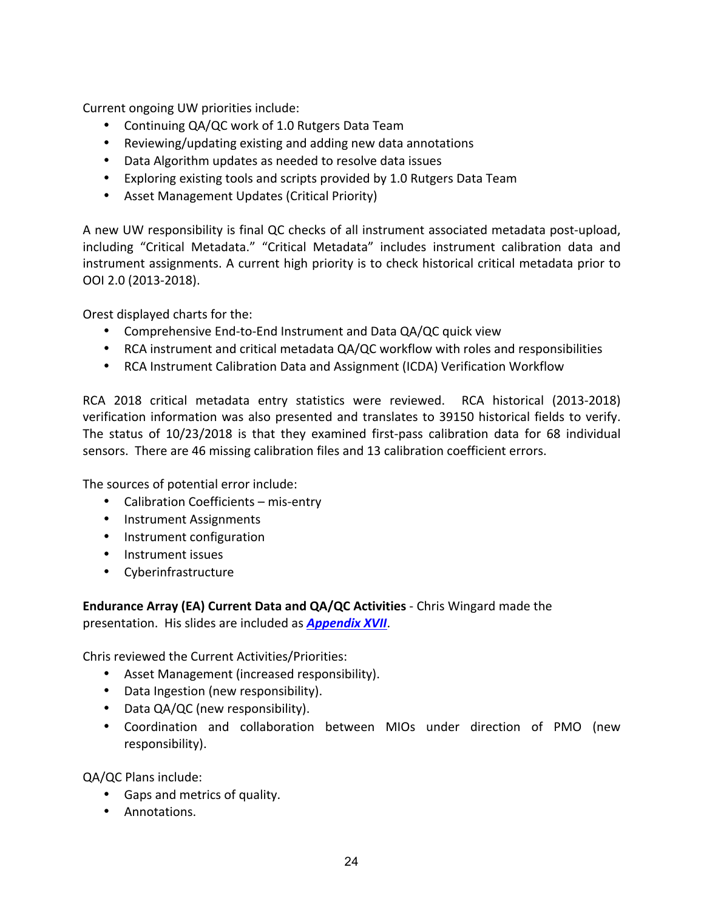Current ongoing UW priorities include:

- Continuing QA/QC work of 1.0 Rutgers Data Team
- Reviewing/updating existing and adding new data annotations
- Data Algorithm updates as needed to resolve data issues
- Exploring existing tools and scripts provided by 1.0 Rutgers Data Team
- Asset Management Updates (Critical Priority)

A new UW responsibility is final QC checks of all instrument associated metadata post-upload, including "Critical Metadata." "Critical Metadata" includes instrument calibration data and instrument assignments. A current high priority is to check historical critical metadata prior to OOI 2.0 (2013-2018). 

Orest displayed charts for the:

- Comprehensive End-to-End Instrument and Data QA/QC quick view
- RCA instrument and critical metadata QA/QC workflow with roles and responsibilities
- RCA Instrument Calibration Data and Assignment (ICDA) Verification Workflow

RCA 2018 critical metadata entry statistics were reviewed. RCA historical (2013-2018) verification information was also presented and translates to 39150 historical fields to verify. The status of  $10/23/2018$  is that they examined first-pass calibration data for 68 individual sensors. There are 46 missing calibration files and 13 calibration coefficient errors.

The sources of potential error include:

- Calibration Coefficients mis-entry
- Instrument Assignments
- Instrument configuration
- Instrument issues
- Cyberinfrastructure

**Endurance Array (EA) Current Data and QA/QC Activities** - Chris Wingard made the presentation. His slides are included as **Appendix XVII**.

Chris reviewed the Current Activities/Priorities:

- Asset Management (increased responsibility).
- Data Ingestion (new responsibility).
- Data QA/QC (new responsibility).
- Coordination and collaboration between MIOs under direction of PMO (new responsibility).

QA/QC Plans include:

- Gaps and metrics of quality.
- Annotations.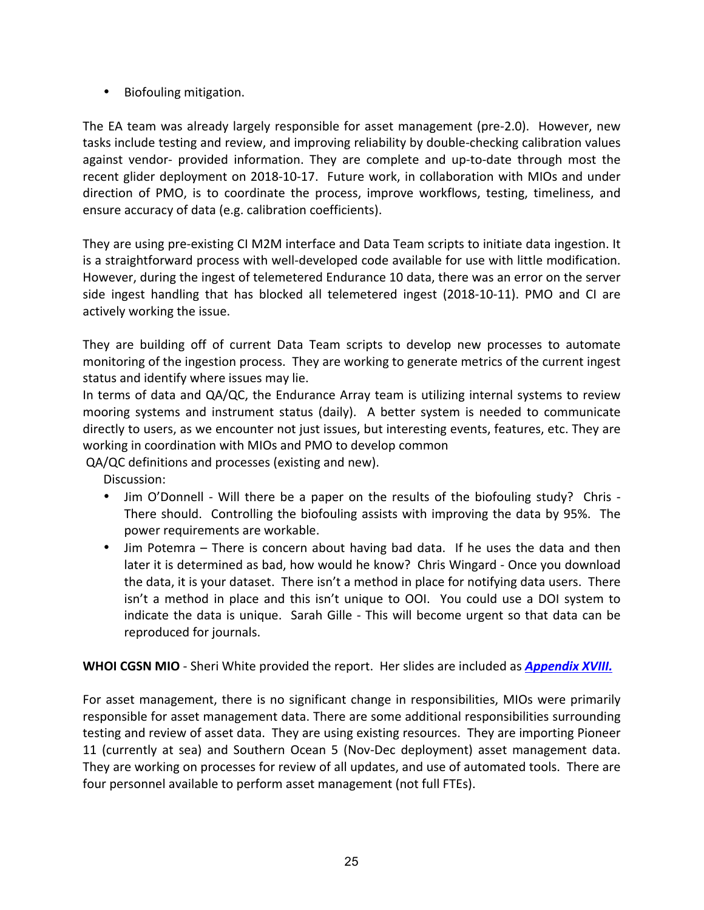• Biofouling mitigation. 

The EA team was already largely responsible for asset management (pre-2.0). However, new tasks include testing and review, and improving reliability by double-checking calibration values against vendor- provided information. They are complete and up-to-date through most the recent glider deployment on 2018-10-17. Future work, in collaboration with MIOs and under direction of PMO, is to coordinate the process, improve workflows, testing, timeliness, and ensure accuracy of data (e.g. calibration coefficients).

They are using pre-existing CI M2M interface and Data Team scripts to initiate data ingestion. It is a straightforward process with well-developed code available for use with little modification. However, during the ingest of telemetered Endurance 10 data, there was an error on the server side ingest handling that has blocked all telemetered ingest (2018-10-11). PMO and CI are actively working the issue.

They are building off of current Data Team scripts to develop new processes to automate monitoring of the ingestion process. They are working to generate metrics of the current ingest status and identify where issues may lie.

In terms of data and  $QA/QC$ , the Endurance Array team is utilizing internal systems to review mooring systems and instrument status (daily). A better system is needed to communicate directly to users, as we encounter not just issues, but interesting events, features, etc. They are working in coordination with MIOs and PMO to develop common

QA/QC definitions and processes (existing and new).

Discussion:

- Jim O'Donnell Will there be a paper on the results of the biofouling study? Chris -There should. Controlling the biofouling assists with improving the data by 95%. The power requirements are workable.
- Jim Potemra There is concern about having bad data. If he uses the data and then later it is determined as bad, how would he know? Chris Wingard - Once you download the data, it is your dataset. There isn't a method in place for notifying data users. There isn't a method in place and this isn't unique to OOI. You could use a DOI system to indicate the data is unique. Sarah Gille - This will become urgent so that data can be reproduced for journals.

**WHOI CGSN MIO** - Sheri White provided the report. Her slides are included as *Appendix XVIII.* 

For asset management, there is no significant change in responsibilities, MIOs were primarily responsible for asset management data. There are some additional responsibilities surrounding testing and review of asset data. They are using existing resources. They are importing Pioneer 11 (currently at sea) and Southern Ocean 5 (Nov-Dec deployment) asset management data. They are working on processes for review of all updates, and use of automated tools. There are four personnel available to perform asset management (not full FTEs).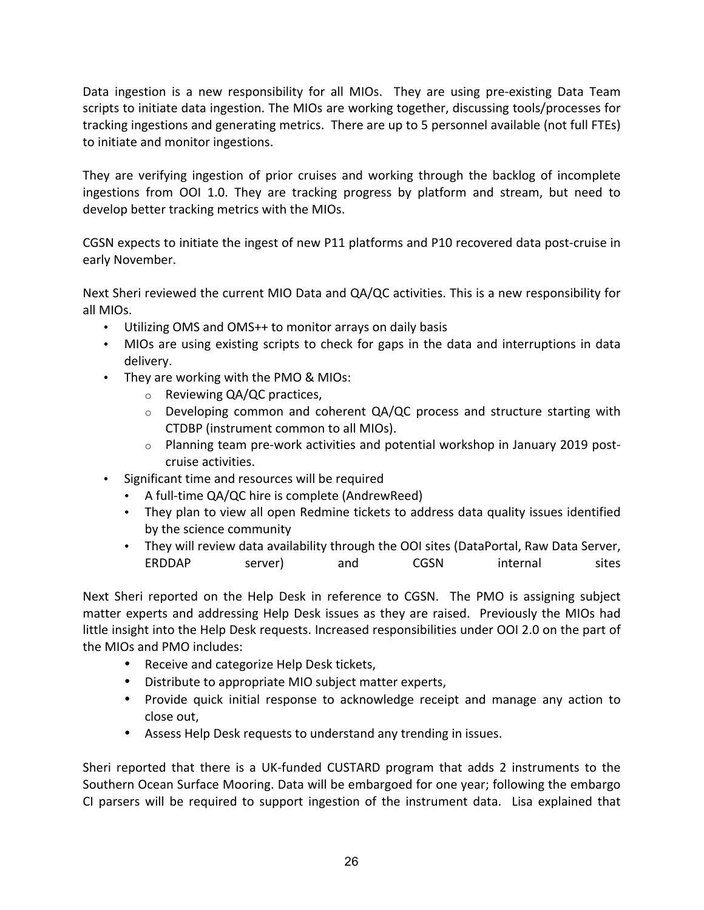Data ingestion is a new responsibility for all MIOs. They are using pre-existing Data Team scripts to initiate data ingestion. The MIOs are working together, discussing tools/processes for tracking ingestions and generating metrics. There are up to 5 personnel available (not full FTEs) to initiate and monitor ingestions.

They are verifying ingestion of prior cruises and working through the backlog of incomplete ingestions from OOI 1.0. They are tracking progress by platform and stream, but need to develop better tracking metrics with the MIOs.

CGSN expects to initiate the ingest of new P11 platforms and P10 recovered data post-cruise in early November. 

Next Sheri reviewed the current MIO Data and QA/QC activities. This is a new responsibility for all MIOs.

- Utilizing OMS and OMS++ to monitor arrays on daily basis
- MIOs are using existing scripts to check for gaps in the data and interruptions in data delivery.
- They are working with the PMO & MIOs:
	- $\circ$  Reviewing QA/QC practices,
	- $\circ$  Developing common and coherent QA/QC process and structure starting with CTDBP (instrument common to all MIOs).
	- $\circ$  Planning team pre-work activities and potential workshop in January 2019 postcruise activities.
- Significant time and resources will be required
	- A full-time QA/QC hire is complete (AndrewReed)
	- They plan to view all open Redmine tickets to address data quality issues identified by the science community
	- They will review data availability through the OOI sites (DataPortal, Raw Data Server, ERDDAP server) and CGSN internal sites

Next Sheri reported on the Help Desk in reference to CGSN. The PMO is assigning subject matter experts and addressing Help Desk issues as they are raised. Previously the MIOs had little insight into the Help Desk requests. Increased responsibilities under OOI 2.0 on the part of the MIOs and PMO includes:

- Receive and categorize Help Desk tickets,
- Distribute to appropriate MIO subject matter experts,
- Provide quick initial response to acknowledge receipt and manage any action to close out.
- Assess Help Desk requests to understand any trending in issues.

Sheri reported that there is a UK-funded CUSTARD program that adds 2 instruments to the Southern Ocean Surface Mooring. Data will be embargoed for one year; following the embargo CI parsers will be required to support ingestion of the instrument data. Lisa explained that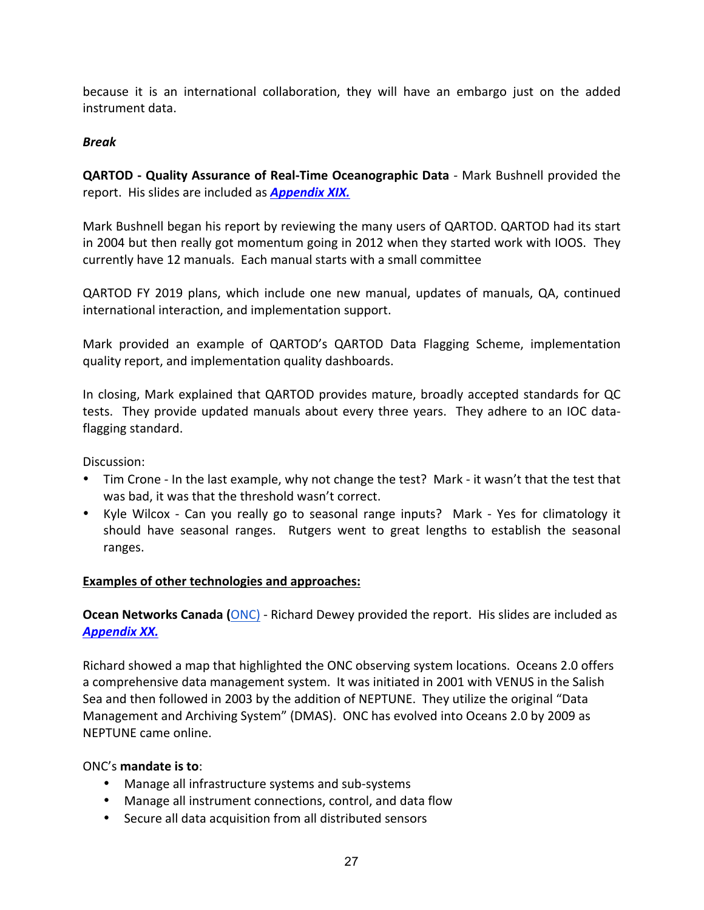because it is an international collaboration, they will have an embargo just on the added instrument data.

#### *Break*

**QARTOD** - **Quality Assurance of Real-Time Oceanographic Data** - Mark Bushnell provided the report. His slides are included as **Appendix XIX.** 

Mark Bushnell began his report by reviewing the many users of QARTOD. QARTOD had its start in 2004 but then really got momentum going in 2012 when they started work with IOOS. They currently have 12 manuals. Each manual starts with a small committee

QARTOD FY 2019 plans, which include one new manual, updates of manuals, QA, continued international interaction, and implementation support.

Mark provided an example of QARTOD's QARTOD Data Flagging Scheme, implementation quality report, and implementation quality dashboards.

In closing, Mark explained that QARTOD provides mature, broadly accepted standards for QC tests. They provide updated manuals about every three years. They adhere to an IOC dataflagging standard.

Discussion:

- Tim Crone In the last example, why not change the test? Mark it wasn't that the test that was bad, it was that the threshold wasn't correct.
- Kyle Wilcox Can you really go to seasonal range inputs? Mark Yes for climatology it should have seasonal ranges. Rutgers went to great lengths to establish the seasonal ranges.

#### **Examples of other technologies and approaches:**

**Ocean Networks Canada (ONC) - Richard Dewey provided the report. His slides are included as** *Appendix XX.*

Richard showed a map that highlighted the ONC observing system locations. Oceans 2.0 offers a comprehensive data management system. It was initiated in 2001 with VENUS in the Salish Sea and then followed in 2003 by the addition of NEPTUNE. They utilize the original "Data Management and Archiving System" (DMAS). ONC has evolved into Oceans 2.0 by 2009 as NEPTUNE came online.

### ONC's **mandate is to**:

- Manage all infrastructure systems and sub-systems
- Manage all instrument connections, control, and data flow
- Secure all data acquisition from all distributed sensors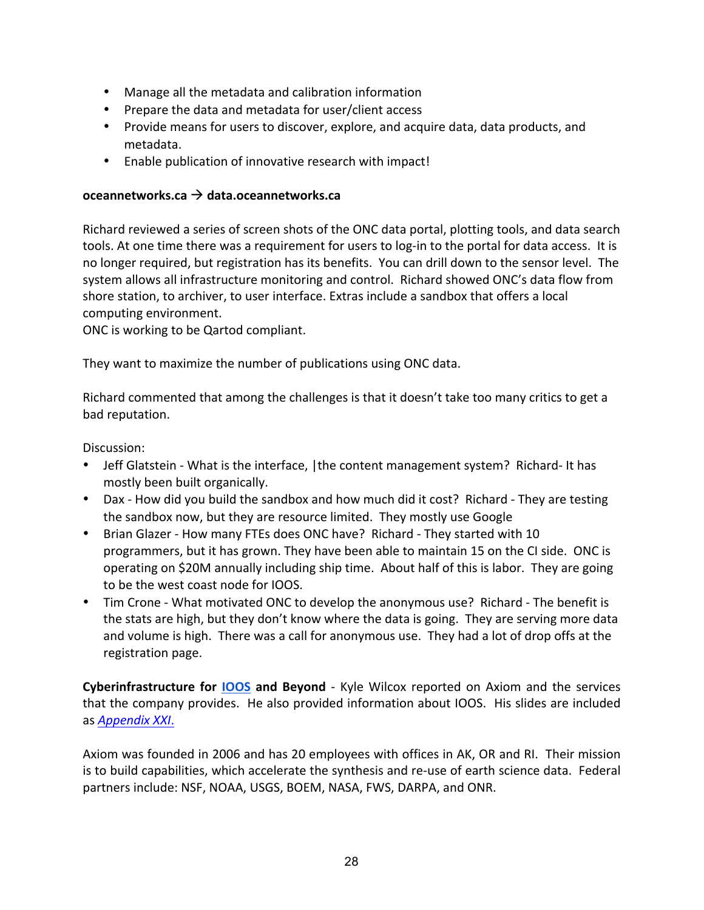- Manage all the metadata and calibration information
- Prepare the data and metadata for user/client access
- Provide means for users to discover, explore, and acquire data, data products, and metadata.
- Enable publication of innovative research with impact!

#### **oceannetworks.ca** à **data.oceannetworks.ca**

Richard reviewed a series of screen shots of the ONC data portal, plotting tools, and data search tools. At one time there was a requirement for users to log-in to the portal for data access. It is no longer required, but registration has its benefits. You can drill down to the sensor level. The system allows all infrastructure monitoring and control. Richard showed ONC's data flow from shore station, to archiver, to user interface. Extras include a sandbox that offers a local computing environment.

ONC is working to be Qartod compliant.

They want to maximize the number of publications using ONC data.

Richard commented that among the challenges is that it doesn't take too many critics to get a bad reputation.

Discussion:

- Jeff Glatstein What is the interface, (the content management system? Richard- It has mostly been built organically.
- Dax How did you build the sandbox and how much did it cost? Richard They are testing the sandbox now, but they are resource limited. They mostly use Google
- Brian Glazer How many FTEs does ONC have? Richard They started with 10 programmers, but it has grown. They have been able to maintain 15 on the CI side. ONC is operating on \$20M annually including ship time. About half of this is labor. They are going to be the west coast node for IOOS.
- Tim Crone What motivated ONC to develop the anonymous use? Richard The benefit is the stats are high, but they don't know where the data is going. They are serving more data and volume is high. There was a call for anonymous use. They had a lot of drop offs at the registration page.

**Cyberinfrastructure for IOOS and Beyond** - Kyle Wilcox reported on Axiom and the services that the company provides. He also provided information about IOOS. His slides are included as *Appendix XXI*.

Axiom was founded in 2006 and has 20 employees with offices in AK, OR and RI. Their mission is to build capabilities, which accelerate the synthesis and re-use of earth science data. Federal partners include: NSF, NOAA, USGS, BOEM, NASA, FWS, DARPA, and ONR.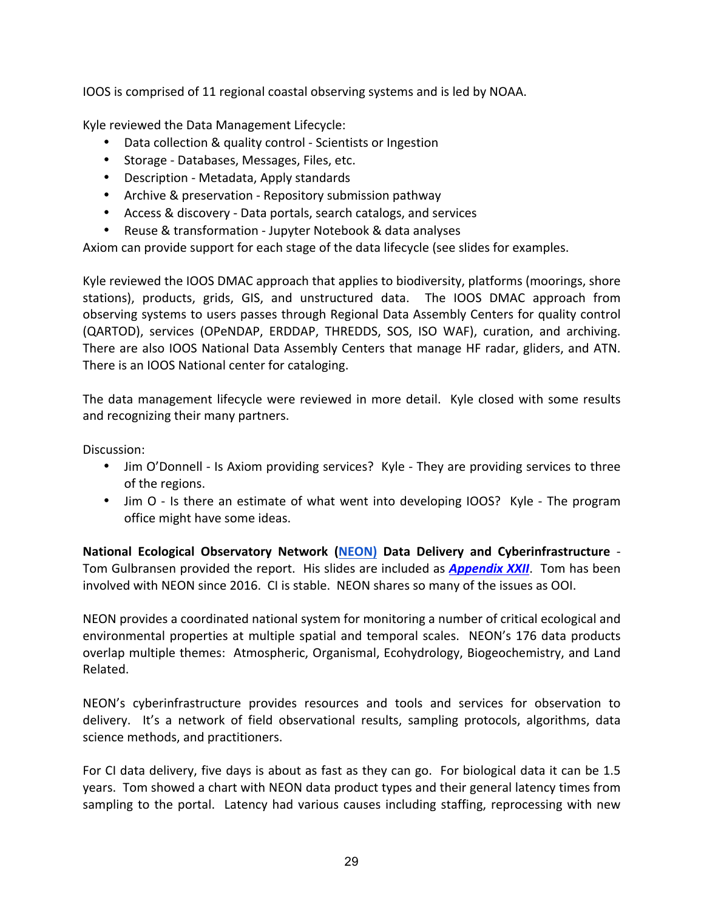IOOS is comprised of 11 regional coastal observing systems and is led by NOAA.

Kyle reviewed the Data Management Lifecycle:

- Data collection & quality control Scientists or Ingestion
- Storage Databases, Messages, Files, etc.
- Description Metadata, Apply standards
- Archive & preservation Repository submission pathway
- Access & discovery Data portals, search catalogs, and services
- Reuse & transformation Jupyter Notebook & data analyses

Axiom can provide support for each stage of the data lifecycle (see slides for examples.

Kyle reviewed the IOOS DMAC approach that applies to biodiversity, platforms (moorings, shore stations), products, grids, GIS, and unstructured data. The IOOS DMAC approach from observing systems to users passes through Regional Data Assembly Centers for quality control (QARTOD), services (OPeNDAP, ERDDAP, THREDDS, SOS, ISO WAF), curation, and archiving. There are also IOOS National Data Assembly Centers that manage HF radar, gliders, and ATN. There is an IOOS National center for cataloging.

The data management lifecycle were reviewed in more detail. Kyle closed with some results and recognizing their many partners.

Discussion:

- Jim O'Donnell Is Axiom providing services? Kyle They are providing services to three of the regions.
- Jim O Is there an estimate of what went into developing IOOS? Kyle The program office might have some ideas.

**National Ecological Observatory Network (NEON) Data Delivery and Cyberinfrastructure** -Tom Gulbransen provided the report. His slides are included as **Appendix XXII**. Tom has been involved with NEON since 2016. CI is stable. NEON shares so many of the issues as OOI.

NEON provides a coordinated national system for monitoring a number of critical ecological and environmental properties at multiple spatial and temporal scales. NEON's 176 data products overlap multiple themes: Atmospheric, Organismal, Ecohydrology, Biogeochemistry, and Land Related.

NEON's cyberinfrastructure provides resources and tools and services for observation to delivery. It's a network of field observational results, sampling protocols, algorithms, data science methods, and practitioners.

For CI data delivery, five days is about as fast as they can go. For biological data it can be 1.5 years. Tom showed a chart with NEON data product types and their general latency times from sampling to the portal. Latency had various causes including staffing, reprocessing with new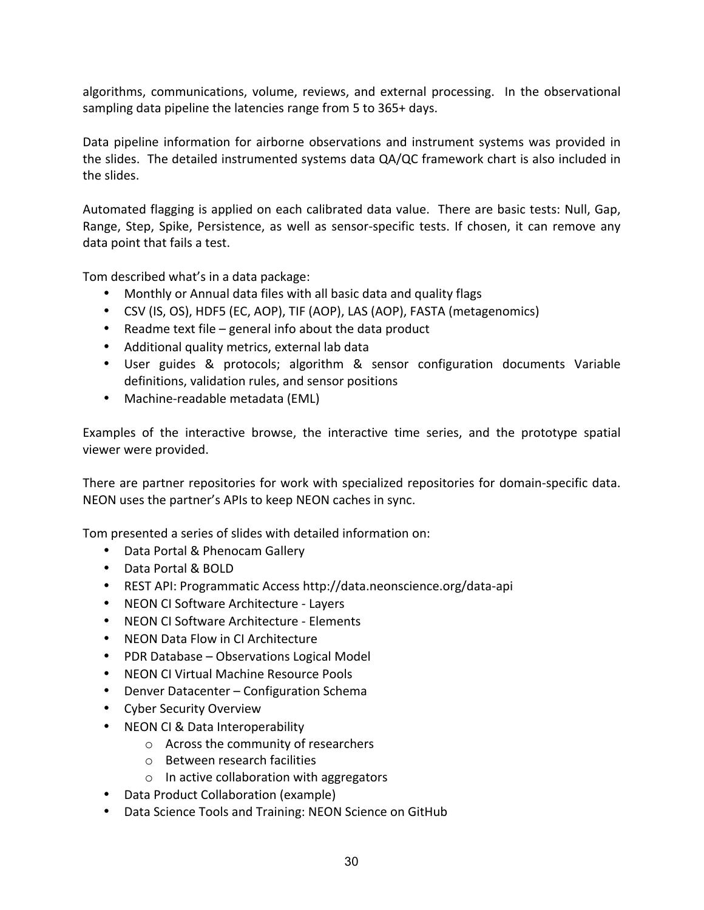algorithms, communications, volume, reviews, and external processing. In the observational sampling data pipeline the latencies range from 5 to 365+ days.

Data pipeline information for airborne observations and instrument systems was provided in the slides. The detailed instrumented systems data QA/QC framework chart is also included in the slides.

Automated flagging is applied on each calibrated data value. There are basic tests: Null, Gap, Range, Step, Spike, Persistence, as well as sensor-specific tests. If chosen, it can remove any data point that fails a test.

Tom described what's in a data package:

- Monthly or Annual data files with all basic data and quality flags
- CSV (IS, OS), HDF5 (EC, AOP), TIF (AOP), LAS (AOP), FASTA (metagenomics)
- Readme text file general info about the data product
- Additional quality metrics, external lab data
- User guides & protocols; algorithm & sensor configuration documents Variable definitions, validation rules, and sensor positions
- Machine-readable metadata (EML)

Examples of the interactive browse, the interactive time series, and the prototype spatial viewer were provided.

There are partner repositories for work with specialized repositories for domain-specific data. NEON uses the partner's APIs to keep NEON caches in sync.

Tom presented a series of slides with detailed information on:

- Data Portal & Phenocam Gallery
- Data Portal & BOLD
- REST API: Programmatic Access http://data.neonscience.org/data-api
- NEON CI Software Architecture Layers
- NEON CI Software Architecture Elements
- NEON Data Flow in CI Architecture
- PDR Database Observations Logical Model
- NEON CI Virtual Machine Resource Pools
- Denver Datacenter Configuration Schema
- Cyber Security Overview
- NEON CI & Data Interoperability
	- $\circ$  Across the community of researchers
	- $\circ$  Between research facilities
	- $\circ$  In active collaboration with aggregators
- Data Product Collaboration (example)
- Data Science Tools and Training: NEON Science on GitHub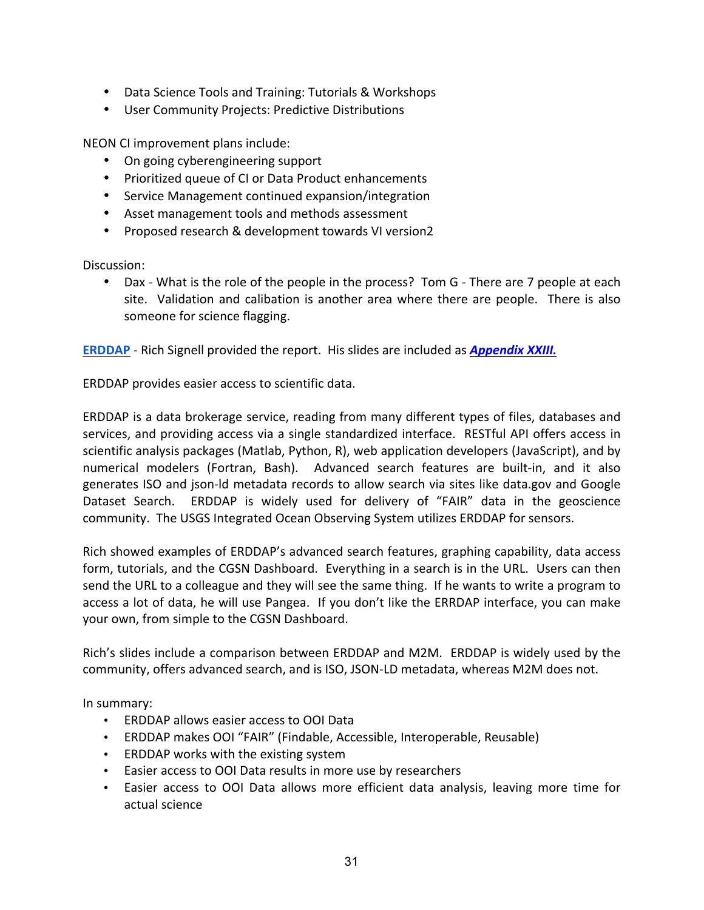- Data Science Tools and Training: Tutorials & Workshops
- User Community Projects: Predictive Distributions

NEON CI improvement plans include:

- On going cyberengineering support
- Prioritized queue of CI or Data Product enhancements
- Service Management continued expansion/integration
- Asset management tools and methods assessment
- Proposed research & development towards VI version2

Discussion:

• Dax - What is the role of the people in the process? Tom G - There are 7 people at each site. Validation and calibation is another area where there are people. There is also someone for science flagging.

**ERDDAP** - Rich Signell provided the report. His slides are included as *Appendix XXIII.* 

ERDDAP provides easier access to scientific data.

ERDDAP is a data brokerage service, reading from many different types of files, databases and services, and providing access via a single standardized interface. RESTful API offers access in scientific analysis packages (Matlab, Python, R), web application developers (JavaScript), and by numerical modelers (Fortran, Bash). Advanced search features are built-in, and it also generates ISO and ison-Id metadata records to allow search via sites like data.gov and Google Dataset Search. ERDDAP is widely used for delivery of "FAIR" data in the geoscience community. The USGS Integrated Ocean Observing System utilizes ERDDAP for sensors.

Rich showed examples of ERDDAP's advanced search features, graphing capability, data access form, tutorials, and the CGSN Dashboard. Everything in a search is in the URL. Users can then send the URL to a colleague and they will see the same thing. If he wants to write a program to access a lot of data, he will use Pangea. If you don't like the ERRDAP interface, you can make your own, from simple to the CGSN Dashboard.

Rich's slides include a comparison between ERDDAP and M2M. ERDDAP is widely used by the community, offers advanced search, and is ISO, JSON-LD metadata, whereas M2M does not.

In summary:

- ERDDAP allows easier access to OOI Data
- ERDDAP makes OOI "FAIR" (Findable, Accessible, Interoperable, Reusable)
- ERDDAP works with the existing system
- Easier access to OOI Data results in more use by researchers
- Easier access to OOI Data allows more efficient data analysis, leaving more time for actual science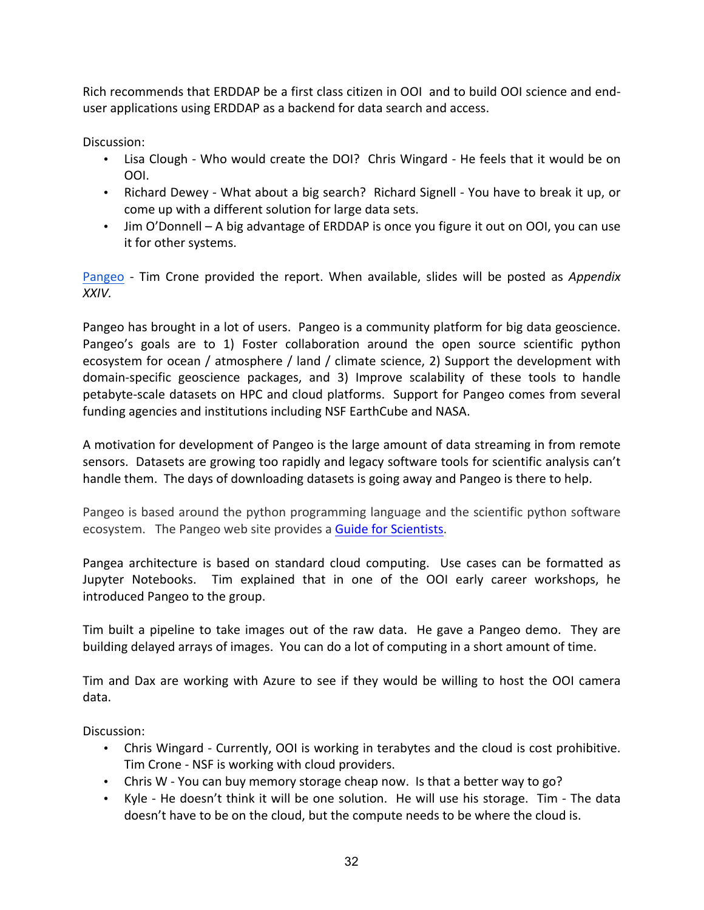Rich recommends that ERDDAP be a first class citizen in OOI and to build OOI science and enduser applications using ERDDAP as a backend for data search and access.

Discussion:

- Lisa Clough Who would create the DOI? Chris Wingard He feels that it would be on OOI.
- Richard Dewey What about a big search? Richard Signell You have to break it up, or come up with a different solution for large data sets.
- Jim O'Donnell A big advantage of ERDDAP is once you figure it out on OOI, you can use it for other systems.

Pangeo - Tim Crone provided the report. When available, slides will be posted as *Appendix XXIV.* 

Pangeo has brought in a lot of users. Pangeo is a community platform for big data geoscience. Pangeo's goals are to 1) Foster collaboration around the open source scientific python ecosystem for ocean / atmosphere / land / climate science, 2) Support the development with domain-specific geoscience packages, and 3) Improve scalability of these tools to handle petabyte-scale datasets on HPC and cloud platforms. Support for Pangeo comes from several funding agencies and institutions including NSF EarthCube and NASA.

A motivation for development of Pangeo is the large amount of data streaming in from remote sensors. Datasets are growing too rapidly and legacy software tools for scientific analysis can't handle them. The days of downloading datasets is going away and Pangeo is there to help.

Pangeo is based around the python programming language and the scientific python software ecosystem. The Pangeo web site provides a Guide for Scientists.

Pangea architecture is based on standard cloud computing. Use cases can be formatted as Jupyter Notebooks. Tim explained that in one of the OOI early career workshops, he introduced Pangeo to the group.

Tim built a pipeline to take images out of the raw data. He gave a Pangeo demo. They are building delayed arrays of images. You can do a lot of computing in a short amount of time.

Tim and Dax are working with Azure to see if they would be willing to host the OOI camera data.

Discussion:

- Chris Wingard Currently, OOI is working in terabytes and the cloud is cost prohibitive. Tim Crone - NSF is working with cloud providers.
- Chris W You can buy memory storage cheap now. Is that a better way to go?
- Kyle He doesn't think it will be one solution. He will use his storage. Tim The data doesn't have to be on the cloud, but the compute needs to be where the cloud is.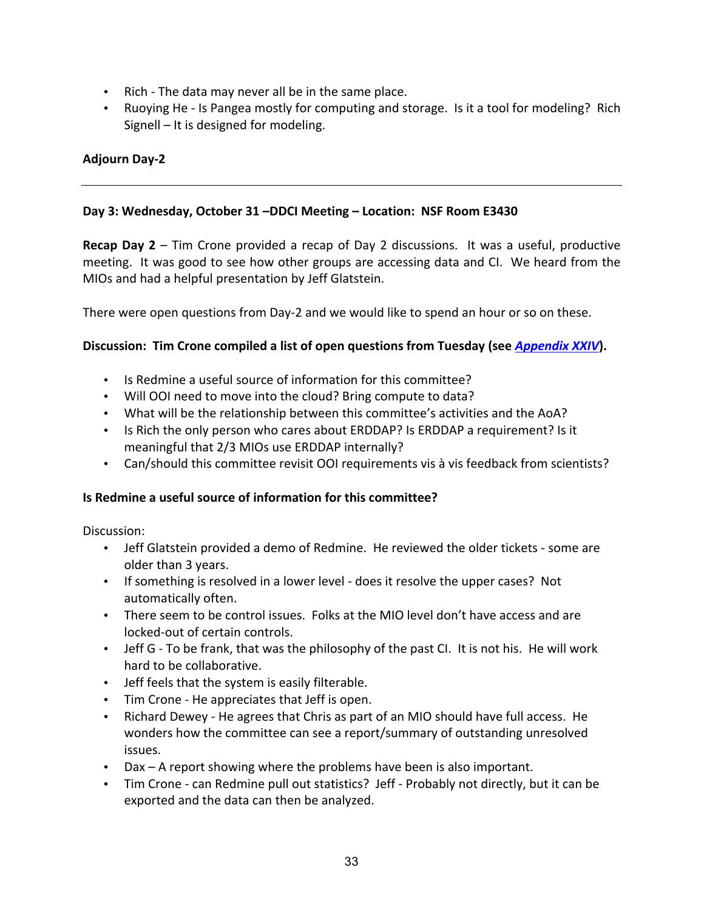- Rich The data may never all be in the same place.
- Ruoying He Is Pangea mostly for computing and storage. Is it a tool for modeling? Rich Signell  $-$  It is designed for modeling.

# **Adjourn Day-2**

### **Day 3: Wednesday, October 31 –DDCI Meeting – Location: NSF Room E3430**

**Recap Day 2** – Tim Crone provided a recap of Day 2 discussions. It was a useful, productive meeting. It was good to see how other groups are accessing data and CI. We heard from the MIOs and had a helpful presentation by Jeff Glatstein.

There were open questions from Day-2 and we would like to spend an hour or so on these.

#### **Discussion: Tim Crone compiled a list of open questions from Tuesday (see** *Appendix XXIV***).**

- Is Redmine a useful source of information for this committee?
- Will OOI need to move into the cloud? Bring compute to data?
- What will be the relationship between this committee's activities and the AoA?
- Is Rich the only person who cares about ERDDAP? Is ERDDAP a requirement? Is it meaningful that 2/3 MIOs use ERDDAP internally?
- Can/should this committee revisit OOI requirements vis à vis feedback from scientists?

### **Is Redmine a useful source of information for this committee?**

Discussion:

- Jeff Glatstein provided a demo of Redmine. He reviewed the older tickets some are older than 3 years.
- If something is resolved in a lower level does it resolve the upper cases? Not automatically often.
- There seem to be control issues. Folks at the MIO level don't have access and are locked-out of certain controls.
- Jeff G To be frank, that was the philosophy of the past CI. It is not his. He will work hard to be collaborative.
- Jeff feels that the system is easily filterable.
- Tim Crone He appreciates that Jeff is open.
- Richard Dewey He agrees that Chris as part of an MIO should have full access. He wonders how the committee can see a report/summary of outstanding unresolved issues.
- Dax  $-$  A report showing where the problems have been is also important.
- Tim Crone can Redmine pull out statistics? Jeff Probably not directly, but it can be exported and the data can then be analyzed.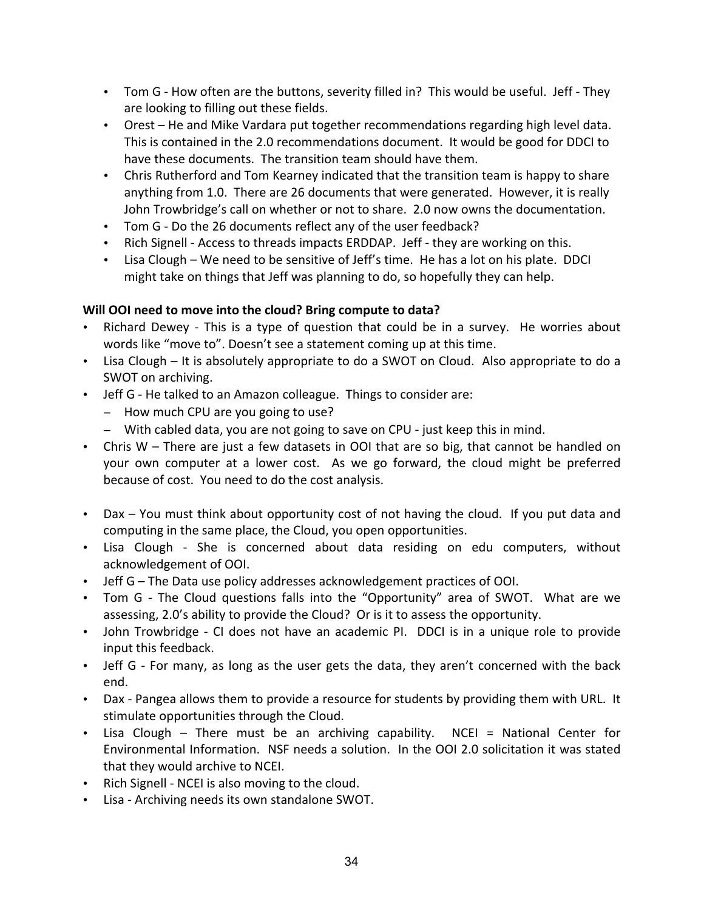- Tom G How often are the buttons, severity filled in? This would be useful. Jeff They are looking to filling out these fields.
- Orest He and Mike Vardara put together recommendations regarding high level data. This is contained in the 2.0 recommendations document. It would be good for DDCI to have these documents. The transition team should have them.
- Chris Rutherford and Tom Kearney indicated that the transition team is happy to share anything from 1.0. There are 26 documents that were generated. However, it is really John Trowbridge's call on whether or not to share. 2.0 now owns the documentation.
- Tom G Do the 26 documents reflect any of the user feedback?
- Rich Signell Access to threads impacts ERDDAP. Jeff they are working on this.
- Lisa Clough We need to be sensitive of Jeff's time. He has a lot on his plate. DDCI might take on things that Jeff was planning to do, so hopefully they can help.

# **Will OOI need to move into the cloud? Bring compute to data?**

- Richard Dewey This is a type of question that could be in a survey. He worries about words like "move to". Doesn't see a statement coming up at this time.
- Lisa Clough It is absolutely appropriate to do a SWOT on Cloud. Also appropriate to do a SWOT on archiving.
- Jeff G He talked to an Amazon colleague. Things to consider are:
	- − How much CPU are you going to use?
	- − With cabled data, you are not going to save on CPU just keep this in mind.
- Chris W There are just a few datasets in OOI that are so big, that cannot be handled on your own computer at a lower cost. As we go forward, the cloud might be preferred because of cost. You need to do the cost analysis.
- Dax You must think about opportunity cost of not having the cloud. If you put data and computing in the same place, the Cloud, you open opportunities.
- Lisa Clough She is concerned about data residing on edu computers, without acknowledgement of OOI.
- Jeff G The Data use policy addresses acknowledgement practices of OOI.
- Tom G The Cloud questions falls into the "Opportunity" area of SWOT. What are we assessing, 2.0's ability to provide the Cloud? Or is it to assess the opportunity.
- John Trowbridge CI does not have an academic PI. DDCI is in a unique role to provide input this feedback.
- Jeff G For many, as long as the user gets the data, they aren't concerned with the back end.
- Dax Pangea allows them to provide a resource for students by providing them with URL. It stimulate opportunities through the Cloud.
- Lisa Clough There must be an archiving capability. NCEI = National Center for Environmental Information. NSF needs a solution. In the OOI 2.0 solicitation it was stated that they would archive to NCEI.
- Rich Signell NCEI is also moving to the cloud.
- Lisa Archiving needs its own standalone SWOT.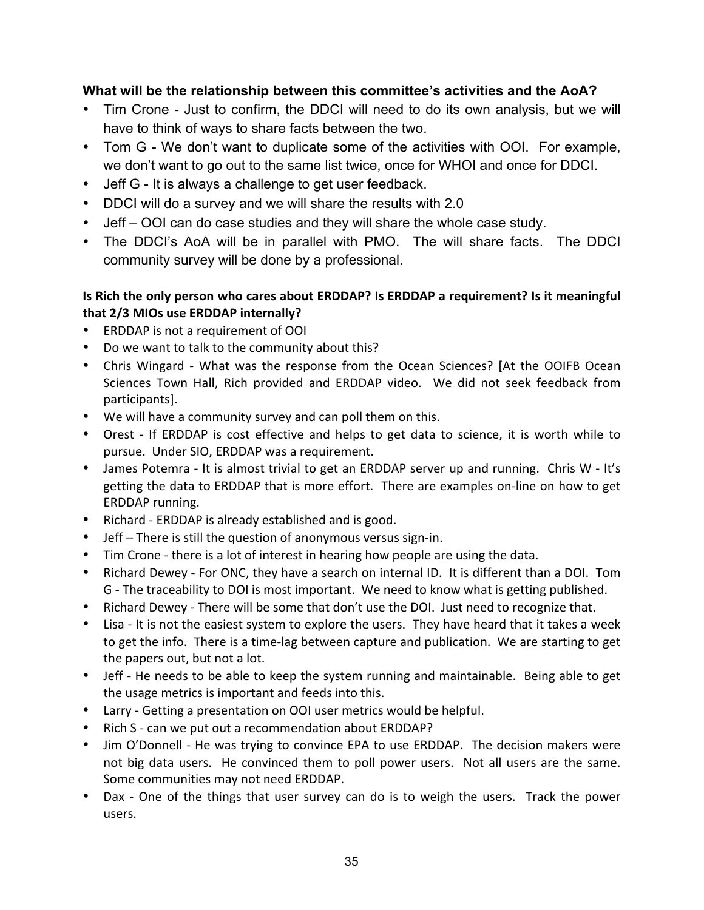# **What will be the relationship between this committee's activities and the AoA?**

- Tim Crone Just to confirm, the DDCI will need to do its own analysis, but we will have to think of ways to share facts between the two.
- Tom G We don't want to duplicate some of the activities with OOI. For example, we don't want to go out to the same list twice, once for WHOI and once for DDCI.
- Jeff G It is always a challenge to get user feedback.
- DDCI will do a survey and we will share the results with 2.0
- Jeff OOI can do case studies and they will share the whole case study.
- The DDCI's AoA will be in parallel with PMO. The will share facts. The DDCI community survey will be done by a professional.

# Is Rich the only person who cares about ERDDAP? Is ERDDAP a requirement? Is it meaningful that 2/3 MIOs use ERDDAP internally?

- ERDDAP is not a requirement of OOI
- Do we want to talk to the community about this?
- Chris Wingard What was the response from the Ocean Sciences? [At the OOIFB Ocean Sciences Town Hall, Rich provided and ERDDAP video. We did not seek feedback from participants].
- We will have a community survey and can poll them on this.
- Orest If ERDDAP is cost effective and helps to get data to science, it is worth while to pursue. Under SIO, ERDDAP was a requirement.
- James Potemra It is almost trivial to get an ERDDAP server up and running. Chris W It's getting the data to ERDDAP that is more effort. There are examples on-line on how to get ERDDAP running.
- Richard ERDDAP is already established and is good.
- $\bullet$  Jeff There is still the question of anonymous versus sign-in.
- Tim Crone there is a lot of interest in hearing how people are using the data.
- Richard Dewey For ONC, they have a search on internal ID. It is different than a DOI. Tom G - The traceability to DOI is most important. We need to know what is getting published.
- Richard Dewey There will be some that don't use the DOI. Just need to recognize that.
- Lisa It is not the easiest system to explore the users. They have heard that it takes a week to get the info. There is a time-lag between capture and publication. We are starting to get the papers out, but not a lot.
- Jeff He needs to be able to keep the system running and maintainable. Being able to get the usage metrics is important and feeds into this.
- Larry Getting a presentation on OOI user metrics would be helpful.
- Rich S can we put out a recommendation about ERDDAP?
- Jim O'Donnell He was trying to convince EPA to use ERDDAP. The decision makers were not big data users. He convinced them to poll power users. Not all users are the same. Some communities may not need ERDDAP.
- Dax One of the things that user survey can do is to weigh the users. Track the power users.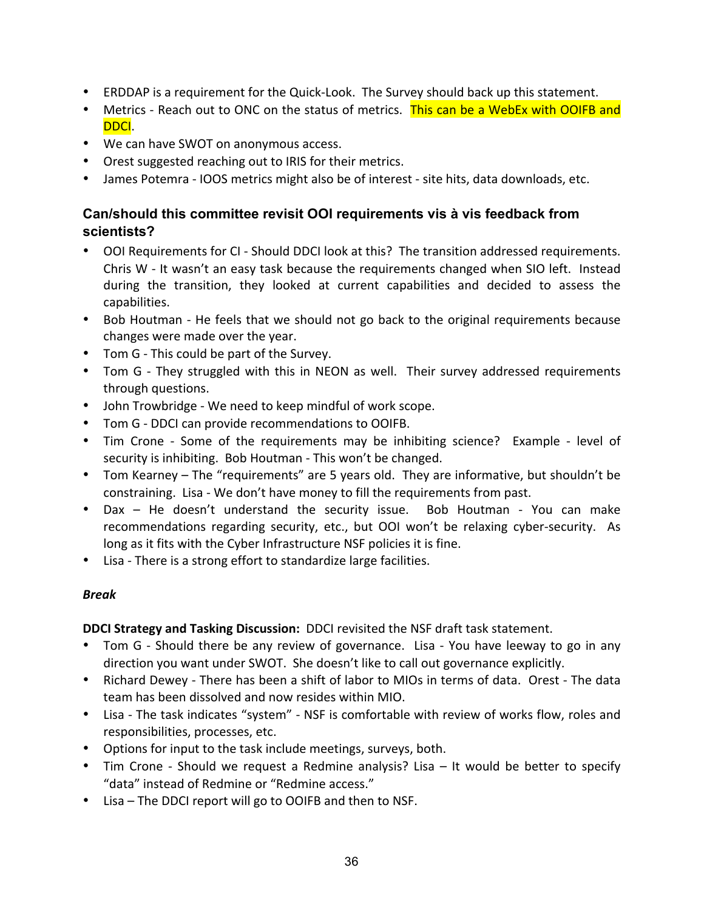- ERDDAP is a requirement for the Quick-Look. The Survey should back up this statement.
- Metrics Reach out to ONC on the status of metrics. This can be a WebEx with OOIFB and DDCI.
- We can have SWOT on anonymous access.
- Orest suggested reaching out to IRIS for their metrics.
- James Potemra IOOS metrics might also be of interest site hits, data downloads, etc.

# **Can/should this committee revisit OOI requirements vis à vis feedback from scientists?**

- OOI Requirements for CI Should DDCI look at this? The transition addressed requirements. Chris  $W$  - It wasn't an easy task because the requirements changed when SIO left. Instead during the transition, they looked at current capabilities and decided to assess the capabilities.
- Bob Houtman He feels that we should not go back to the original requirements because changes were made over the year.
- Tom G This could be part of the Survey.
- Tom G They struggled with this in NEON as well. Their survey addressed requirements through questions.
- John Trowbridge We need to keep mindful of work scope.
- Tom G DDCI can provide recommendations to OOIFB.
- Tim Crone Some of the requirements may be inhibiting science? Example level of security is inhibiting. Bob Houtman - This won't be changed.
- Tom Kearney The "requirements" are 5 years old. They are informative, but shouldn't be constraining. Lisa - We don't have money to fill the requirements from past.
- Dax He doesn't understand the security issue. Bob Houtman You can make recommendations regarding security, etc., but OOI won't be relaxing cyber-security. As long as it fits with the Cyber Infrastructure NSF policies it is fine.
- Lisa There is a strong effort to standardize large facilities.

### *Break*

**DDCI Strategy and Tasking Discussion:** DDCI revisited the NSF draft task statement.

- Tom G Should there be any review of governance. Lisa You have leeway to go in any direction you want under SWOT. She doesn't like to call out governance explicitly.
- Richard Dewey There has been a shift of labor to MIOs in terms of data. Orest The data team has been dissolved and now resides within MIO.
- Lisa The task indicates "system" NSF is comfortable with review of works flow, roles and responsibilities, processes, etc.
- Options for input to the task include meetings, surveys, both.
- Tim Crone Should we request a Redmine analysis? Lisa It would be better to specify "data" instead of Redmine or "Redmine access."
- Lisa The DDCI report will go to OOIFB and then to NSF.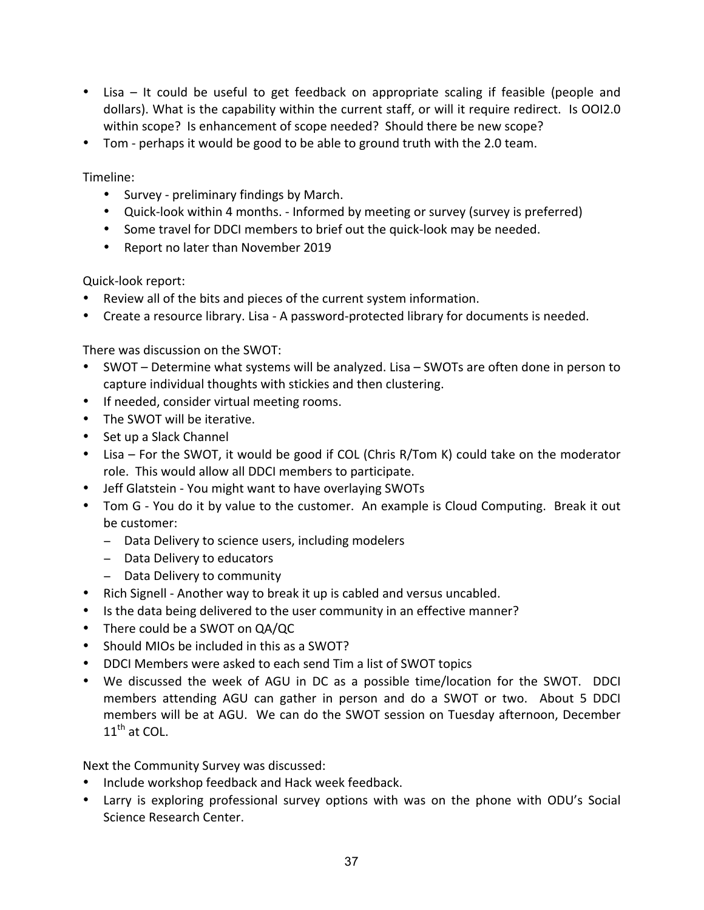- Lisa It could be useful to get feedback on appropriate scaling if feasible (people and dollars). What is the capability within the current staff, or will it require redirect. Is OOI2.0 within scope? Is enhancement of scope needed? Should there be new scope?
- Tom perhaps it would be good to be able to ground truth with the 2.0 team.

Timeline:

- Survey preliminary findings by March.
- Quick-look within 4 months. Informed by meeting or survey (survey is preferred)
- Some travel for DDCI members to brief out the quick-look may be needed.
- Report no later than November 2019

Quick-look report:

- Review all of the bits and pieces of the current system information.
- Create a resource library. Lisa A password-protected library for documents is needed.

There was discussion on the SWOT:

- SWOT Determine what systems will be analyzed. Lisa SWOTs are often done in person to capture individual thoughts with stickies and then clustering.
- If needed, consider virtual meeting rooms.
- The SWOT will be iterative.
- Set up a Slack Channel
- Lisa For the SWOT, it would be good if COL (Chris R/Tom K) could take on the moderator role. This would allow all DDCI members to participate.
- Jeff Glatstein You might want to have overlaying SWOTs
- Tom G You do it by value to the customer. An example is Cloud Computing. Break it out be customer:
	- − Data Delivery to science users, including modelers
	- − Data Delivery to educators
	- − Data Delivery to community
- Rich Signell Another way to break it up is cabled and versus uncabled.
- Is the data being delivered to the user community in an effective manner?
- There could be a SWOT on QA/QC
- Should MIOs be included in this as a SWOT?
- DDCI Members were asked to each send Tim a list of SWOT topics
- We discussed the week of AGU in DC as a possible time/location for the SWOT. DDCI members attending AGU can gather in person and do a SWOT or two. About 5 DDCI members will be at AGU. We can do the SWOT session on Tuesday afternoon, December  $11^{\text{th}}$  at COL.

Next the Community Survey was discussed:

- Include workshop feedback and Hack week feedback.
- Larry is exploring professional survey options with was on the phone with ODU's Social Science Research Center.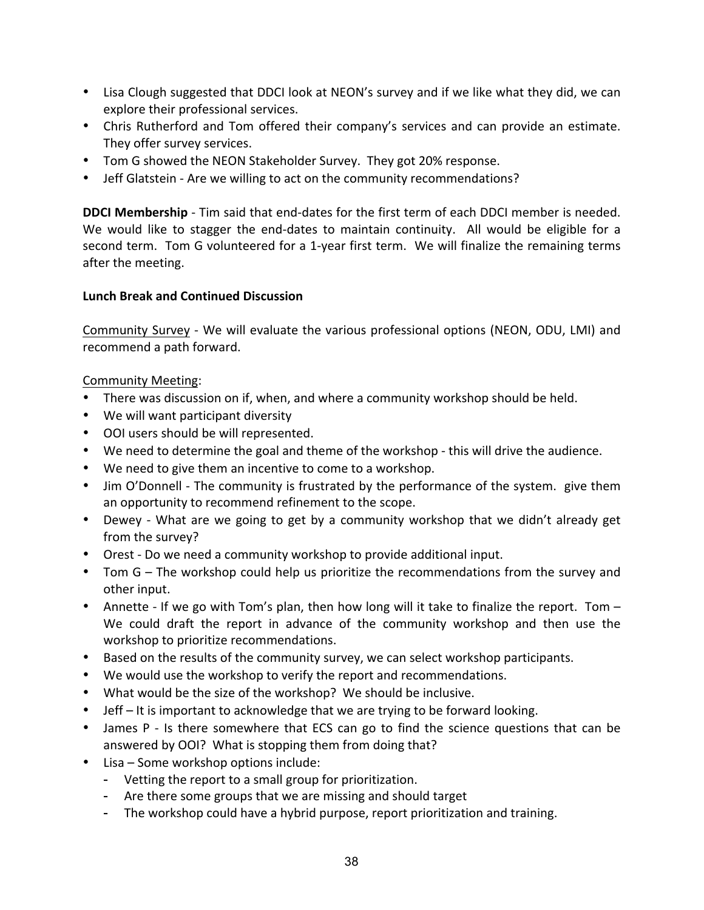- Lisa Clough suggested that DDCI look at NEON's survey and if we like what they did, we can explore their professional services.
- Chris Rutherford and Tom offered their company's services and can provide an estimate. They offer survey services.
- Tom G showed the NEON Stakeholder Survey. They got 20% response.
- Jeff Glatstein Are we willing to act on the community recommendations?

**DDCI Membership** - Tim said that end-dates for the first term of each DDCI member is needed. We would like to stagger the end-dates to maintain continuity. All would be eligible for a second term. Tom G volunteered for a 1-year first term. We will finalize the remaining terms after the meeting.

#### **Lunch Break and Continued Discussion**

Community Survey - We will evaluate the various professional options (NEON, ODU, LMI) and recommend a path forward.

#### Community Meeting:

- There was discussion on if, when, and where a community workshop should be held.
- We will want participant diversity
- OOI users should be will represented.
- We need to determine the goal and theme of the workshop this will drive the audience.
- We need to give them an incentive to come to a workshop.
- Jim O'Donnell The community is frustrated by the performance of the system. give them an opportunity to recommend refinement to the scope.
- Dewey What are we going to get by a community workshop that we didn't already get from the survey?
- Orest Do we need a community workshop to provide additional input.
- Tom G The workshop could help us prioritize the recommendations from the survey and other input.
- Annette If we go with Tom's plan, then how long will it take to finalize the report. Tom -We could draft the report in advance of the community workshop and then use the workshop to prioritize recommendations.
- Based on the results of the community survey, we can select workshop participants.
- We would use the workshop to verify the report and recommendations.
- What would be the size of the workshop? We should be inclusive.
- $J$ eff  $-$  It is important to acknowledge that we are trying to be forward looking.
- James P Is there somewhere that ECS can go to find the science questions that can be answered by OOI? What is stopping them from doing that?
- Lisa Some workshop options include:
	- Vetting the report to a small group for prioritization.
	- Are there some groups that we are missing and should target
	- The workshop could have a hybrid purpose, report prioritization and training.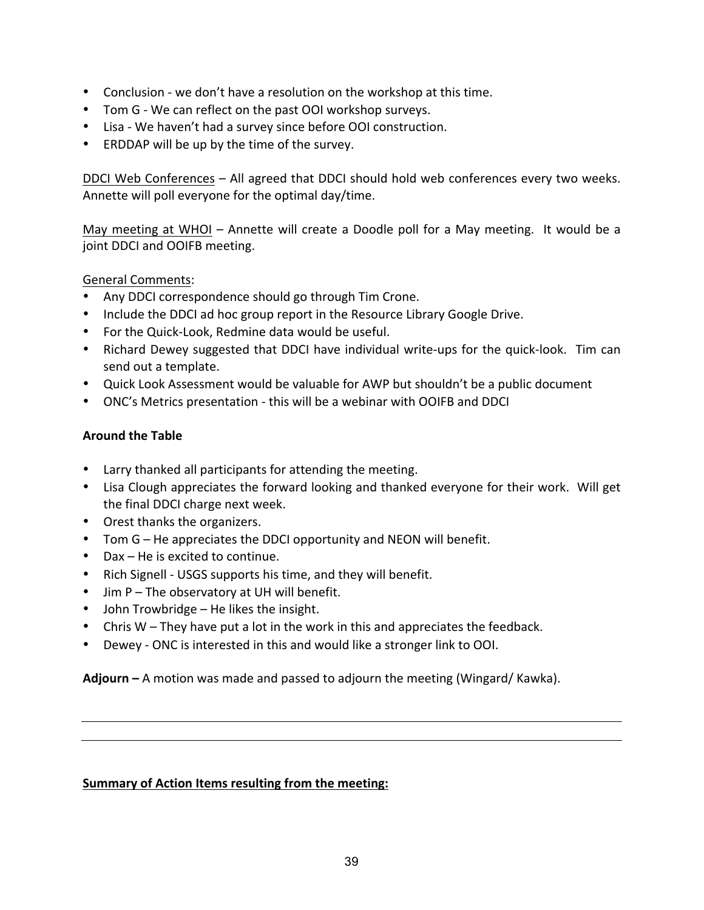- Conclusion we don't have a resolution on the workshop at this time.
- Tom G We can reflect on the past OOI workshop surveys.
- Lisa We haven't had a survey since before OOI construction.
- ERDDAP will be up by the time of the survey.

DDCI Web Conferences – All agreed that DDCI should hold web conferences every two weeks. Annette will poll everyone for the optimal day/time.

May meeting at WHOI – Annette will create a Doodle poll for a May meeting. It would be a joint DDCI and OOIFB meeting.

### General Comments:

- Any DDCI correspondence should go through Tim Crone.
- Include the DDCI ad hoc group report in the Resource Library Google Drive.
- For the Quick-Look, Redmine data would be useful.
- Richard Dewey suggested that DDCI have individual write-ups for the quick-look. Tim can send out a template.
- Quick Look Assessment would be valuable for AWP but shouldn't be a public document
- ONC's Metrics presentation this will be a webinar with OOIFB and DDCI

# **Around the Table**

- Larry thanked all participants for attending the meeting.
- Lisa Clough appreciates the forward looking and thanked everyone for their work. Will get the final DDCI charge next week.
- Orest thanks the organizers.
- Tom  $G$  He appreciates the DDCI opportunity and NEON will benefit.
- Dax  $-$  He is excited to continue.
- Rich Signell USGS supports his time, and they will benefit.
- Jim P The observatory at UH will benefit.
- John Trowbridge He likes the insight.
- Chris  $W$  They have put a lot in the work in this and appreciates the feedback.
- Dewey ONC is interested in this and would like a stronger link to OOI.

**Adjourn** – A motion was made and passed to adjourn the meeting (Wingard/ Kawka).

### **Summary of Action Items resulting from the meeting:**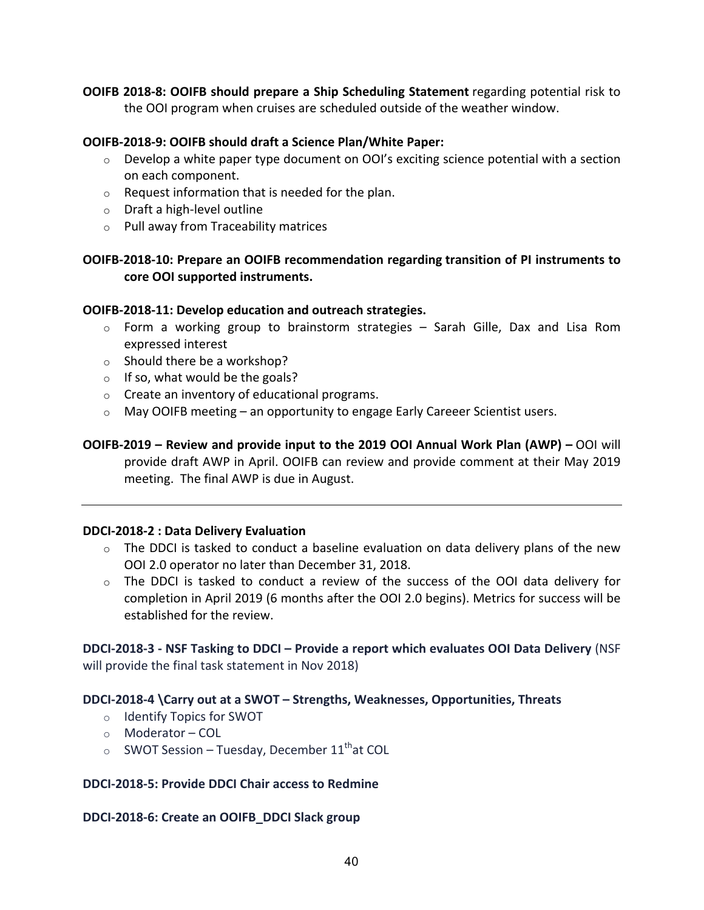**OOIFB 2018-8: OOIFB should prepare a Ship Scheduling Statement** regarding potential risk to the OOI program when cruises are scheduled outside of the weather window.

#### **OOIFB-2018-9: OOIFB should draft a Science Plan/White Paper:**

- $\circ$  Develop a white paper type document on OOI's exciting science potential with a section on each component.
- $\circ$  Request information that is needed for the plan.
- $\circ$  Draft a high-level outline
- $\circ$  Pull away from Traceability matrices

#### **OOIFB-2018-10: Prepare an OOIFB recommendation regarding transition of PI instruments to core OOI supported instruments.**

#### **OOIFB-2018-11: Develop education and outreach strategies.**

- $\circ$  Form a working group to brainstorm strategies Sarah Gille, Dax and Lisa Rom expressed interest
- $\circ$  Should there be a workshop?
- $\circ$  If so, what would be the goals?
- $\circ$  Create an inventory of educational programs.
- $\circ$  May OOIFB meeting an opportunity to engage Early Careeer Scientist users.

**OOIFB-2019** – Review and provide input to the 2019 OOI Annual Work Plan (AWP) – OOI will provide draft AWP in April. OOIFB can review and provide comment at their May 2019 meeting. The final AWP is due in August.

#### **DDCI-2018-2 : Data Delivery Evaluation**

- $\circ$  The DDCI is tasked to conduct a baseline evaluation on data delivery plans of the new OOI 2.0 operator no later than December 31, 2018.
- o The DDCI is tasked to conduct a review of the success of the OOI data delivery for completion in April 2019 (6 months after the OOI 2.0 begins). Metrics for success will be established for the review.

**DDCI-2018-3 - NSF Tasking to DDCI – Provide a report which evaluates OOI Data Delivery** (NSF will provide the final task statement in Nov 2018)

#### **DDCI-2018-4 \Carry out at a SWOT – Strengths, Weaknesses, Opportunities, Threats**

- o Identify Topics for SWOT
- o Moderator COL
- $\circ$  SWOT Session Tuesday, December 11<sup>th</sup>at COL

#### **DDCI-2018-5: Provide DDCI Chair access to Redmine**

#### **DDCI-2018-6: Create an OOIFB\_DDCI Slack group**